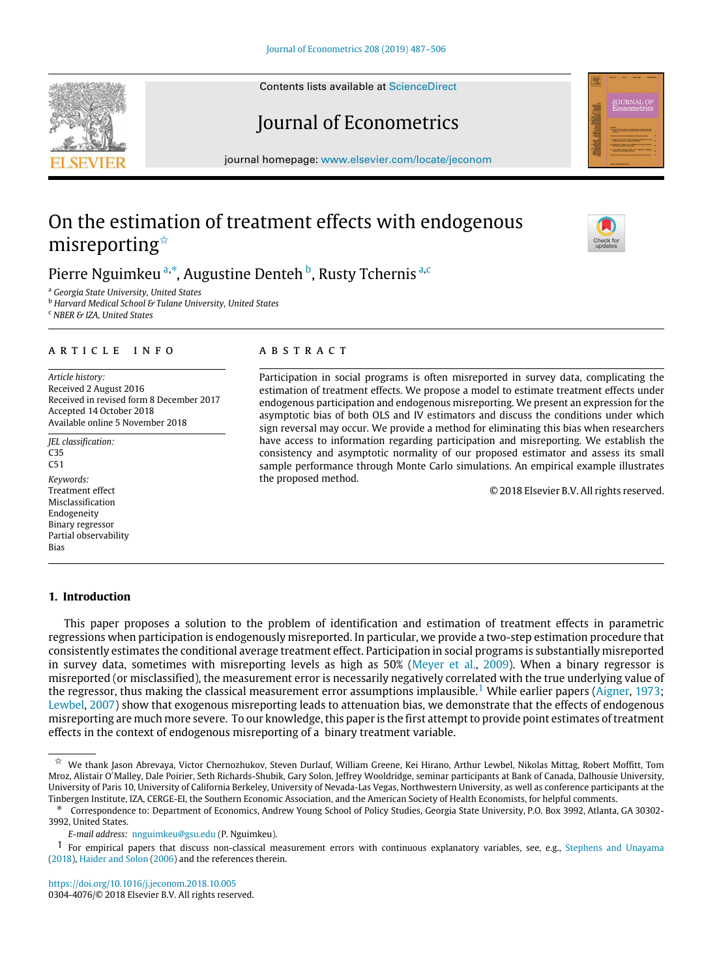Contents lists available at [ScienceDirect](http://www.elsevier.com/locate/jeconom)

# Journal of Econometrics

journal homepage: [www.elsevier.com/locate/jeconom](http://www.elsevier.com/locate/jeconom)

# On the estimation of treatment effects with endogenous misreporting<sup>☆</sup>

# Pierre Nguimkeu ª,\*, Augustine Denteh <sup>b</sup>, Rusty Tchernis <sup>[a](#page-0-1),[c](#page-0-4)</sup>

<span id="page-0-1"></span><sup>a</sup> *Georgia State University, United States*

<span id="page-0-3"></span><sup>b</sup> *Harvard Medical School & Tulane University, United States*

<span id="page-0-4"></span><sup>c</sup> *NBER & IZA, United States*

# a r t i c l e i n f o

*Article history:* Received 2 August 2016 Received in revised form 8 December 2017 Accepted 14 October 2018 Available online 5 November 2018

*JEL classification:* C35  $C51$ *Keywords:* Treatment effect Misclassification Endogeneity Binary regressor Partial observability Bias

# **1. Introduction**

# a b s t r a c t

Participation in social programs is often misreported in survey data, complicating the estimation of treatment effects. We propose a model to estimate treatment effects under endogenous participation and endogenous misreporting. We present an expression for the asymptotic bias of both OLS and IV estimators and discuss the conditions under which sign reversal may occur. We provide a method for eliminating this bias when researchers have access to information regarding participation and misreporting. We establish the consistency and asymptotic normality of our proposed estimator and assess its small sample performance through Monte Carlo simulations. An empirical example illustrates the proposed method.

© 2018 Elsevier B.V. All rights reserved.

<span id="page-0-0"></span> $\hat{\mathbb{X}}$  We thank Jason Abrevaya, Victor Chernozhukov, Steven Durlauf, William Greene, Kei Hirano, Arthur Lewbel, Nikolas Mittag, Robert Moffitt, Tom Mroz, Alistair O′Malley, Dale Poirier, Seth Richards-Shubik, Gary Solon, Jeffrey Wooldridge, seminar participants at Bank of Canada, Dalhousie University, University of Paris 10, University of California Berkeley, University of Nevada-Las Vegas, Northwestern University, as well as conference participants at the Tinbergen Institute, IZA, CERGE-EI, the Southern Economic Association, and the American Society of Health Economists, for helpful comments.

<span id="page-0-6"></span>This paper proposes a solution to the problem of identification and estimation of treatment effects in parametric regressions when participation is endogenously misreported. In particular, we provide a two-step estimation procedure that consistently estimates the conditional average treatment effect. Participation in social programs is substantially misreported in survey data, sometimes with misreporting levels as high as 50% [\(Meyer et al.](#page-19-0), [2009](#page-19-0)). When a binary regressor is misreported (or misclassified), the measurement error is necessarily negatively correlated with the true underlying value of the regressor, thus making the classical measurement error assumptions implausible.<sup>[1](#page-0-5)</sup>While earlier papers ([Aigner](#page-18-0), [1973](#page-18-0); [Lewbel](#page-18-1), [2007](#page-18-1)) show that exogenous misreporting leads to attenuation bias, we demonstrate that the effects of endogenous misreporting are much more severe. To our knowledge, this paper is the first attempt to provide point estimates of treatment

<span id="page-0-2"></span>∗ Correspondence to: Department of Economics, Andrew Young School of Policy Studies, Georgia State University, P.O. Box 3992, Atlanta, GA 30302- 3992, United States.

<span id="page-0-5"></span>*E-mail address:* [nnguimkeu@gsu.edu](mailto:nnguimkeu@gsu.edu) (P. Nguimkeu).

effects in the context of endogenous misreporting of a binary treatment variable.

<sup>1</sup> For empirical papers that discuss non-classical measurement errors with continuous explanatory variables, see, e.g., [Stephens and Unayama](#page-19-1) [\(2018\)](#page-19-1), [Haider and Solon](#page-18-2) ([2006](#page-18-2)) and the references therein.

<https://doi.org/10.1016/j.jeconom.2018.10.005> 0304-4076/© 2018 Elsevier B.V. All rights reserved.

<span id="page-0-7"></span>

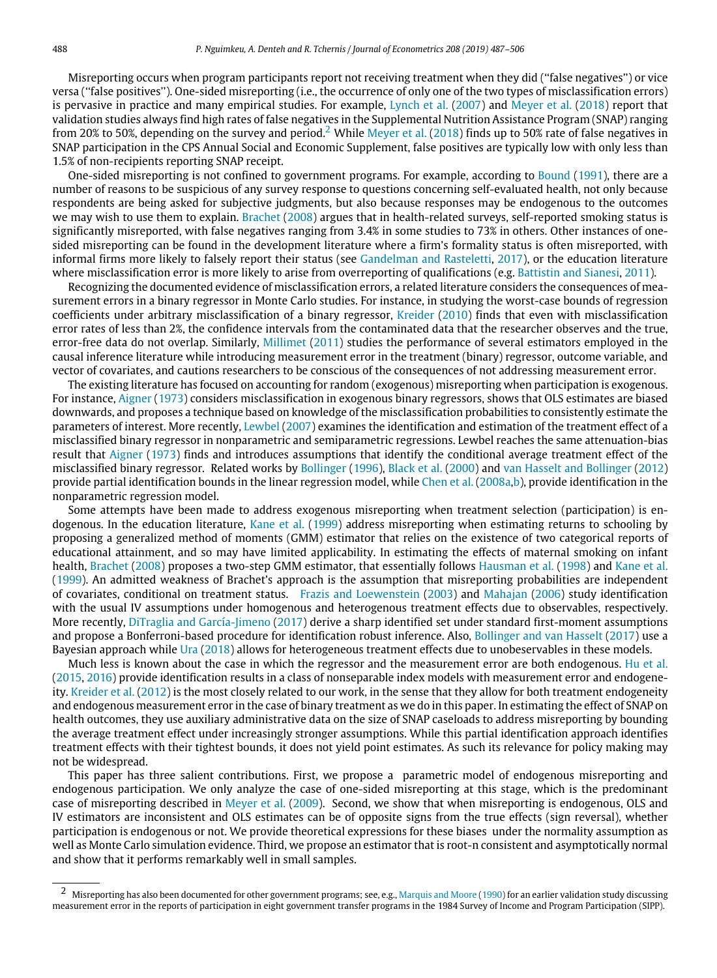Misreporting occurs when program participants report not receiving treatment when they did (''false negatives'') or vice versa (''false positives''). One-sided misreporting (i.e., the occurrence of only one of the two types of misclassification errors) is pervasive in practice and many empirical studies. For example, [Lynch et al.](#page-18-3) [\(2007\)](#page-18-3) and [Meyer et al.](#page-18-4) [\(2018](#page-18-4)) report that validation studies always find high rates of false negatives in the Supplemental Nutrition Assistance Program (SNAP) ranging from [2](#page-1-0)0% to 50%, depending on the survey and period.<sup>2</sup> While [Meyer et al.](#page-18-4) [\(2018\)](#page-18-4) finds up to 50% rate of false negatives in SNAP participation in the CPS Annual Social and Economic Supplement, false positives are typically low with only less than 1.5% of non-recipients reporting SNAP receipt.

One-sided misreporting is not confined to government programs. For example, according to [Bound](#page-18-5) ([1991](#page-18-5)), there are a number of reasons to be suspicious of any survey response to questions concerning self-evaluated health, not only because respondents are being asked for subjective judgments, but also because responses may be endogenous to the outcomes we may wish to use them to explain. [Brachet](#page-18-6) [\(2008\)](#page-18-6) argues that in health-related surveys, self-reported smoking status is significantly misreported, with false negatives ranging from 3.4% in some studies to 73% in others. Other instances of onesided misreporting can be found in the development literature where a firm's formality status is often misreported, with informal firms more likely to falsely report their status (see [Gandelman and Rasteletti](#page-18-7), [2017](#page-18-7)), or the education literature where misclassification error is more likely to arise from overreporting of qualifications (e.g. [Battistin and Sianesi,](#page-18-8) [2011\)](#page-18-8).

Recognizing the documented evidence of misclassification errors, a related literature considers the consequences of measurement errors in a binary regressor in Monte Carlo studies. For instance, in studying the worst-case bounds of regression coefficients under arbitrary misclassification of a binary regressor, [Kreider](#page-18-9) [\(2010](#page-18-9)) finds that even with misclassification error rates of less than 2%, the confidence intervals from the contaminated data that the researcher observes and the true, error-free data do not overlap. Similarly, [Millimet](#page-19-2) ([2011\)](#page-19-2) studies the performance of several estimators employed in the causal inference literature while introducing measurement error in the treatment (binary) regressor, outcome variable, and vector of covariates, and cautions researchers to be conscious of the consequences of not addressing measurement error.

The existing literature has focused on accounting for random (exogenous) misreporting when participation is exogenous. For instance, [Aigner](#page-18-0) [\(1973](#page-18-0)) considers misclassification in exogenous binary regressors, shows that OLS estimates are biased downwards, and proposes a technique based on knowledge of the misclassification probabilities to consistently estimate the parameters of interest. More recently, [Lewbel](#page-18-1) [\(2007\)](#page-18-1) examines the identification and estimation of the treatment effect of a misclassified binary regressor in nonparametric and semiparametric regressions. Lewbel reaches the same attenuation-bias result that [Aigner](#page-18-0) ([1973\)](#page-18-0) finds and introduces assumptions that identify the conditional average treatment effect of the misclassified binary regressor. Related works by [Bollinger](#page-18-10) [\(1996\)](#page-18-10), [Black et al.](#page-18-11) [\(2000\)](#page-18-11) and [van Hasselt and Bollinger](#page-18-12) [\(2012](#page-18-12)) provide partial identification bounds in the linear regression model, while [Chen et al.](#page-18-13) ([2008a](#page-18-13),[b\)](#page-18-14), provide identification in the nonparametric regression model.

Some attempts have been made to address exogenous misreporting when treatment selection (participation) is endogenous. In the education literature, [Kane et al.](#page-18-15) [\(1999\)](#page-18-15) address misreporting when estimating returns to schooling by proposing a generalized method of moments (GMM) estimator that relies on the existence of two categorical reports of educational attainment, and so may have limited applicability. In estimating the effects of maternal smoking on infant health, [Brachet](#page-18-6) ([2008](#page-18-6)) proposes a two-step GMM estimator, that essentially follows [Hausman et al.](#page-18-16) [\(1998](#page-18-16)) and [Kane et al.](#page-18-15) ([1999](#page-18-15)). An admitted weakness of Brachet's approach is the assumption that misreporting probabilities are independent of covariates, conditional on treatment status. [Frazis and Loewenstein](#page-18-17) ([2003](#page-18-17)) and [Mahajan](#page-18-18) ([2006\)](#page-18-18) study identification with the usual IV assumptions under homogenous and heterogenous treatment effects due to observables, respectively. More recently, [DiTraglia and García-Jimeno](#page-18-19) ([2017](#page-18-19)) derive a sharp identified set under standard first-moment assumptions and propose a Bonferroni-based procedure for identification robust inference. Also, [Bollinger and van Hasselt](#page-18-20) [\(2017](#page-18-20)) use a Bayesian approach while [Ura](#page-19-3) ([2018\)](#page-19-3) allows for heterogeneous treatment effects due to unobeservables in these models.

Much less is known about the case in which the regressor and the measurement error are both endogenous. [Hu et al.](#page-18-21) ([2015](#page-18-21), [2016](#page-18-22)) provide identification results in a class of nonseparable index models with measurement error and endogeneity. [Kreider et al.](#page-18-23) [\(2012](#page-18-23)) is the most closely related to our work, in the sense that they allow for both treatment endogeneity and endogenous measurement error in the case of binary treatment as we do in this paper. In estimating the effect of SNAP on health outcomes, they use auxiliary administrative data on the size of SNAP caseloads to address misreporting by bounding the average treatment effect under increasingly stronger assumptions. While this partial identification approach identifies treatment effects with their tightest bounds, it does not yield point estimates. As such its relevance for policy making may not be widespread.

This paper has three salient contributions. First, we propose a parametric model of endogenous misreporting and endogenous participation. We only analyze the case of one-sided misreporting at this stage, which is the predominant case of misreporting described in [Meyer et al.](#page-19-0) ([2009\)](#page-19-0). Second, we show that when misreporting is endogenous, OLS and IV estimators are inconsistent and OLS estimates can be of opposite signs from the true effects (sign reversal), whether participation is endogenous or not. We provide theoretical expressions for these biases under the normality assumption as well as Monte Carlo simulation evidence. Third, we propose an estimator that is root-n consistent and asymptotically normal and show that it performs remarkably well in small samples.

<span id="page-1-0"></span><sup>2</sup> Misreporting has also been documented for other government programs; see, e.g., [Marquis and Moore](#page-18-24) [\(1990](#page-18-24)) for an earlier validation study discussing measurement error in the reports of participation in eight government transfer programs in the 1984 Survey of Income and Program Participation (SIPP).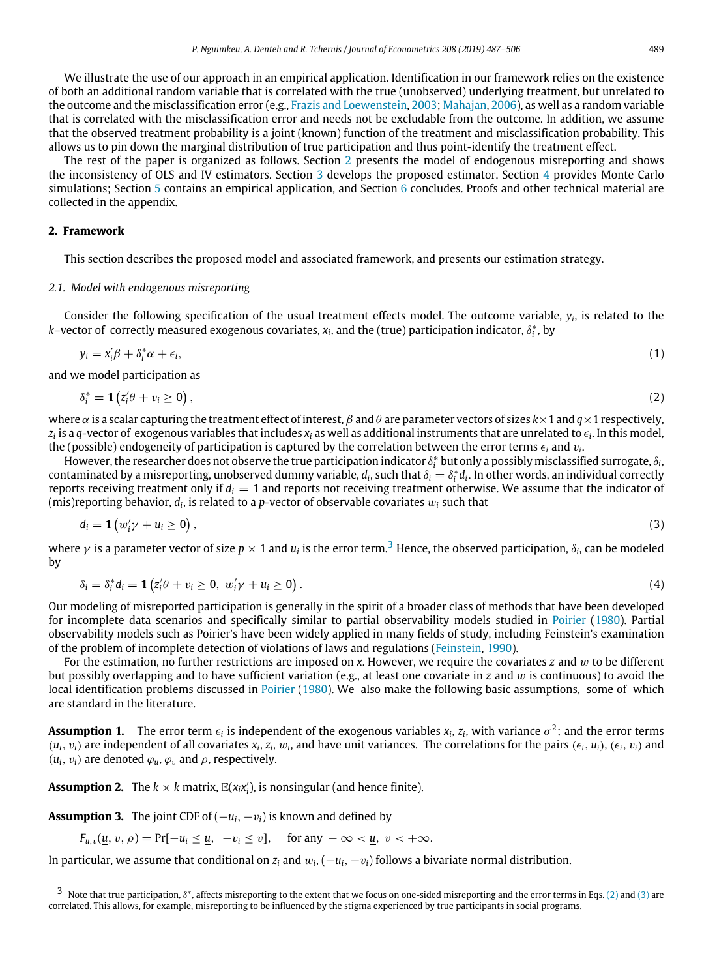We illustrate the use of our approach in an empirical application. Identification in our framework relies on the existence of both an additional random variable that is correlated with the true (unobserved) underlying treatment, but unrelated to the outcome and the misclassification error (e.g., [Frazis and Loewenstein](#page-18-17), [2003;](#page-18-17) [Mahajan,](#page-18-18) [2006](#page-18-18)), as well as a random variable that is correlated with the misclassification error and needs not be excludable from the outcome. In addition, we assume that the observed treatment probability is a joint (known) function of the treatment and misclassification probability. This allows us to pin down the marginal distribution of true participation and thus point-identify the treatment effect.

The rest of the paper is organized as follows. Section [2](#page-2-0) presents the model of endogenous misreporting and shows the inconsistency of OLS and IV estimators. Section [3](#page-5-0) develops the proposed estimator. Section [4](#page-7-0) provides Monte Carlo simulations; Section [5](#page-10-0) contains an empirical application, and Section [6](#page-12-0) concludes. Proofs and other technical material are collected in the appendix.

# **2. Framework**

<span id="page-2-0"></span>This section describes the proposed model and associated framework, and presents our estimation strategy.

## *2.1. Model with endogenous misreporting*

Consider the following specification of the usual treatment effects model. The outcome variable, *y<sup>i</sup>* , is related to the  $k$ –vector of correctly measured exogenous covariates,  $x_i$ , and the (true) participation indicator,  $\delta_i^*$ , by

$$
y_i = x_i' \beta + \delta_i^* \alpha + \epsilon_i, \tag{1}
$$

and we model participation as

<span id="page-2-8"></span><span id="page-2-2"></span>
$$
\delta_i^* = \mathbf{1} \left( z_i' \theta + v_i \ge 0 \right), \tag{2}
$$

where  $\alpha$  is a scalar capturing the treatment effect of interest,  $\beta$  and  $\theta$  are parameter vectors of sizes  $k \times 1$  and  $q \times 1$  respectively, *zi* is a *q*-vector of exogenous variables that includes *x<sup>i</sup>* as well as additional instruments that are unrelated to ϵ*<sup>i</sup>* . In this model, the (possible) endogeneity of participation is captured by the correlation between the error terms  $\epsilon_i$  and  $v_i$ .

However, the researcher does not observe the true participation indicator  $\delta^*_i$  but only a possibly misclassified surrogate,  $\delta_i$ , contaminated by a misreporting, unobserved dummy variable,  $d_i$ , such that  $\delta_i = \delta_i^* d_i$ . In other words, an individual correctly reports receiving treatment only if  $d_i = 1$  and reports not receiving treatment otherwise. We assume that the indicator of (mis)reporting behavior,  $d_i$ , is related to a  $p$ -vector of observable covariates  $w_i$  such that

<span id="page-2-9"></span><span id="page-2-3"></span>
$$
d_i = \mathbf{1}\left(w_i'\gamma + u_i \geq 0\right),\tag{3}
$$

where  $\gamma$  is a parameter vector of size  $p\times 1$  and  $u_i$  is the error term.<sup>[3](#page-2-1)</sup> Hence, the observed participation,  $\delta_i$ , can be modeled by

$$
\delta_i = \delta_i^* d_i = \mathbf{1} \left( z_i' \theta + v_i \geq 0, \ w_i' \gamma + u_i \geq 0 \right). \tag{4}
$$

Our modeling of misreported participation is generally in the spirit of a broader class of methods that have been developed for incomplete data scenarios and specifically similar to partial observability models studied in [Poirier](#page-19-4) ([1980](#page-19-4)). Partial observability models such as Poirier's have been widely applied in many fields of study, including Feinstein's examination of the problem of incomplete detection of violations of laws and regulations([Feinstein,](#page-18-25) [1990\)](#page-18-25).

For the estimation, no further restrictions are imposed on *x*. However, we require the covariates *z* and w to be different but possibly overlapping and to have sufficient variation (e.g., at least one covariate in *z* and w is continuous) to avoid the local identification problems discussed in [Poirier](#page-19-4) ([1980\)](#page-19-4). We also make the following basic assumptions, some of which are standard in the literature.

<span id="page-2-4"></span> $A$ ssumption 1. The error term  $\epsilon_i$  is independent of the exogenous variables  $x_i$ ,  $z_i$ , with variance  $\sigma^2;$  and the error terms  $(u_i, v_i)$  are independent of all covariates  $x_i, z_i, w_i$ , and have unit variances. The correlations for the pairs  $(\epsilon_i, u_i), (\epsilon_i, v_i)$  and  $(u_i, v_i)$  are denoted  $\varphi_u, \varphi_v$  and  $\rho$ , respectively.

<span id="page-2-5"></span>**Assumption 2.** The  $k \times k$  matrix,  $\mathbb{E}(x_i x_i')$ , is nonsingular (and hence finite).

<span id="page-2-6"></span>**Assumption 3.** The joint CDF of  $(-u_i, -v_i)$  is known and defined by

 $F_{u,v}(u, v, \rho) = Pr[-u_i \le u, -v_i \le v],$  for any  $-\infty < u, v < +\infty$ .

In particular, we assume that conditional on  $z_i$  and  $w_i$ ,  $(-u_i, -v_i)$  follows a bivariate normal distribution.

<span id="page-2-7"></span><span id="page-2-1"></span> $3$  Note that true participation,  $\delta^*$ , affects misreporting to the extent that we focus on one-sided misreporting and the error terms in Eqs. [\(2](#page-2-2)) and ([3\)](#page-2-3) are correlated. This allows, for example, misreporting to be influenced by the stigma experienced by true participants in social programs.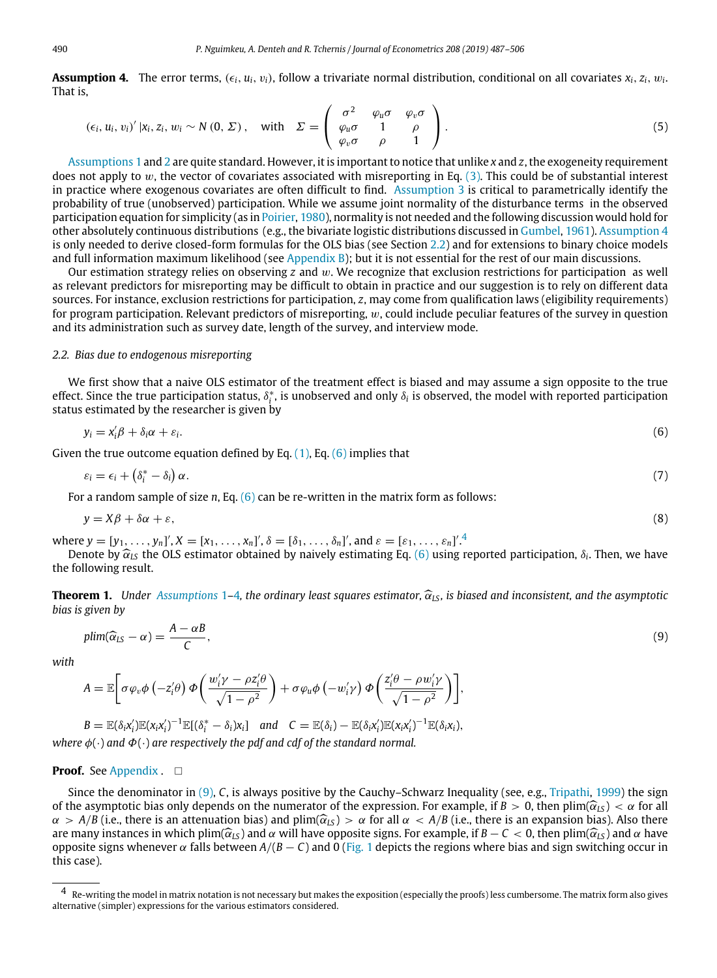**Assumption 4.** The error terms,  $(\epsilon_i,u_i,v_i)$ , follow a trivariate normal distribution, conditional on all covariates  $x_i,z_i,w_i$ That is,

<span id="page-3-7"></span>
$$
(\epsilon_i, u_i, v_i)' |x_i, z_i, w_i \sim N(0, \Sigma), \quad \text{with} \quad \Sigma = \left( \begin{array}{ccc} \sigma^2 & \varphi_u \sigma & \varphi_v \sigma \\ \varphi_u \sigma & 1 & \rho \\ \varphi_v \sigma & \rho & 1 \end{array} \right).
$$
 (5)

[Assumptions 1](#page-2-4) and [2](#page-2-5) are quite standard. However, it is important to notice that unlike *x* and *z*, the exogeneity requirement does not apply to w, the vector of covariates associated with misreporting in Eq.  $(3)$  $(3)$ . This could be of substantial interest in practice where exogenous covariates are often difficult to find. [Assumption 3](#page-2-6) is critical to parametrically identify the probability of true (unobserved) participation. While we assume joint normality of the disturbance terms in the observed participation equation for simplicity (as in [Poirier](#page-19-4), [1980\)](#page-19-4), normality is not needed and the following discussion would hold for other absolutely continuous distributions (e.g., the bivariate logistic distributions discussed in [Gumbel,](#page-18-26) [1961\)](#page-18-26). [Assumption 4](#page-2-7) is only needed to derive closed-form formulas for the OLS bias (see Section [2.2\)](#page-3-0) and for extensions to binary choice models and full information maximum likelihood (see [Appendix B\)](#page-16-0); but it is not essential for the rest of our main discussions.

Our estimation strategy relies on observing *z* and w. We recognize that exclusion restrictions for participation as well as relevant predictors for misreporting may be difficult to obtain in practice and our suggestion is to rely on different data sources. For instance, exclusion restrictions for participation, *z*, may come from qualification laws (eligibility requirements) for program participation. Relevant predictors of misreporting,  $w$ , could include peculiar features of the survey in question and its administration such as survey date, length of the survey, and interview mode.

## *2.2. Bias due to endogenous misreporting*

<span id="page-3-0"></span>We first show that a naive OLS estimator of the treatment effect is biased and may assume a sign opposite to the true effect. Since the true participation status, δ $^*_i$ , is unobserved and only δ<sub>i</sub> is observed, the model with reported participation status estimated by the researcher is given by

<span id="page-3-1"></span>
$$
y_i = x_i' \beta + \delta_i \alpha + \varepsilon_i. \tag{6}
$$

Given the true outcome equation defined by Eq.  $(1)$  $(1)$ , Eq.  $(6)$  $(6)$  implies that

<span id="page-3-4"></span>
$$
\varepsilon_i = \epsilon_i + \left(\delta_i^* - \delta_i\right)\alpha. \tag{7}
$$

For a random sample of size *n*, Eq. ([6\)](#page-3-1) can be re-written in the matrix form as follows:

<span id="page-3-6"></span>
$$
y = X\beta + \delta\alpha + \varepsilon,\tag{8}
$$

where  $y = [y_1, \ldots, y_n]'$ ,  $X = [x_1, \ldots, x_n]'$ ,  $\delta = [\delta_1, \ldots, \delta_n]'$ , and  $\varepsilon = [\varepsilon_1, \ldots, \varepsilon_n]'$ .

Denote by <sup>ˆ</sup>α*LS* the OLS estimator obtained by naively estimating Eq. ([6\)](#page-3-1) using reported participation, <sup>δ</sup>*<sup>i</sup>* . Then, we have the following result.

**Theorem [1](#page-2-4).** *Under [Assumptions](#page-2-4)* 1–[4](#page-2-7)*, the ordinary least squares estimator,*  $\hat{\alpha}_{LS}$ *, is biased and inconsistent, and the asymptotic bias is given by*

<span id="page-3-5"></span><span id="page-3-3"></span>
$$
plim(\widehat{\alpha}_{LS} - \alpha) = \frac{A - \alpha B}{C},
$$
\n(9)

*with*

$$
A = \mathbb{E}\bigg[\sigma\varphi_v\phi\left(-z_i'\theta\right)\Phi\bigg(\frac{w_i'\gamma - \rho z_i'\theta}{\sqrt{1-\rho^2}}\bigg) + \sigma\varphi_u\phi\left(-w_i'\gamma\right)\Phi\bigg(\frac{z_i'\theta - \rho w_i'\gamma}{\sqrt{1-\rho^2}}\bigg)\bigg],
$$

$$
B = \mathbb{E}(\delta_i x_i') \mathbb{E}(x_i x_i')^{-1} \mathbb{E}[(\delta_i^* - \delta_i)x_i]
$$
 and  $C = \mathbb{E}(\delta_i) - \mathbb{E}(\delta_i x_i') \mathbb{E}(x_i x_i')^{-1} \mathbb{E}(\delta_i x_i)$ ,  
where  $\phi(\cdot)$  and  $\Phi(\cdot)$  are respectively the pdf and cdf of the standard normal.

## **Proof.** See [Appendix](#page-12-1) . □

Since the denominator in [\(9\)](#page-3-3), *C*, is always positive by the Cauchy–Schwarz Inequality (see, e.g., [Tripathi,](#page-19-5) [1999](#page-19-5)) the sign of the asymptotic bias only depends on the numerator of the expression. For example, if  $B > 0$ , then  $\text{plim}(\hat{\alpha}_{LS}) < \alpha$  for all  $\alpha > A/B$  (i.e., there is an attenuation bias) and plim( $\hat{\alpha}_{LS}$ )  $> \alpha$  for all  $\alpha < A/B$  (i.e., there is an expansion bias). Also there are many instances in which plim( $\hat{\alpha}_{LS}$ ) and  $\alpha$  will have opposite signs. For example, if  $B - C < 0$ , then plim( $\hat{\alpha}_{LS}$ ) and  $\alpha$  have opposite signs whenever α falls between *<sup>A</sup>*/(*<sup>B</sup>* − *<sup>C</sup>*) and 0 [\(Fig. 1](#page-4-0) depicts the regions where bias and sign switching occur in this case).

<span id="page-3-2"></span><sup>4</sup> Re-writing the model in matrix notation is not necessary but makes the exposition (especially the proofs) less cumbersome. The matrix form also gives alternative (simpler) expressions for the various estimators considered.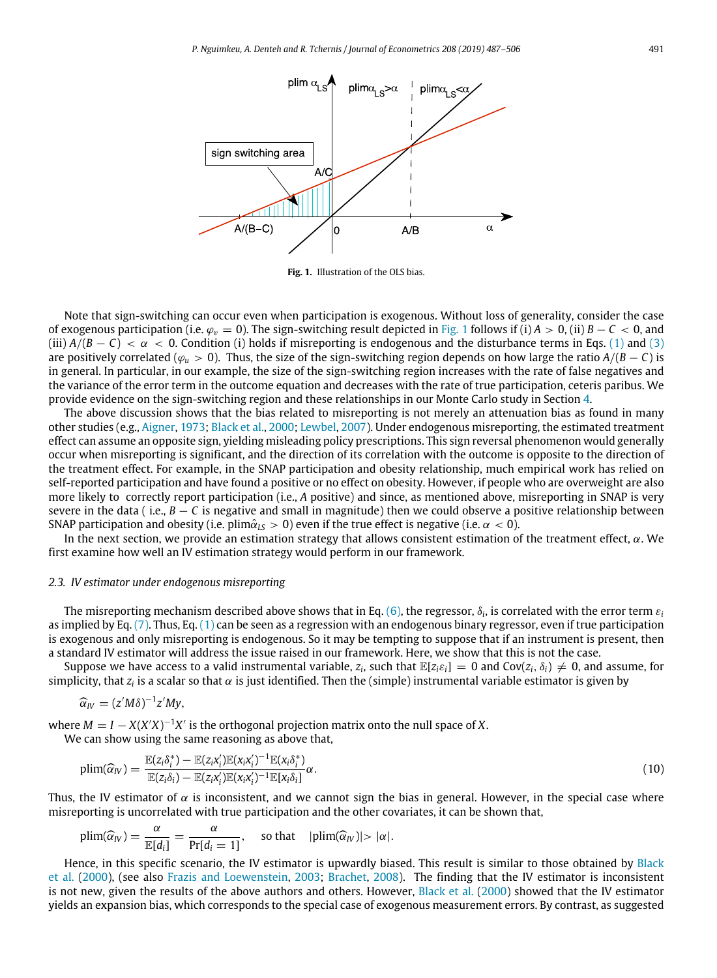

**Fig. 1.** Illustration of the OLS bias.

<span id="page-4-0"></span>Note that sign-switching can occur even when participation is exogenous. Without loss of generality, consider the case of exogenous participation (i.e.  $\varphi_v = 0$ ). The sign-switching result depicted in [Fig. 1](#page-4-0) follows if (i)  $A > 0$ , (ii)  $B - C < 0$ , and (iii)  $A/(B - C) < \alpha < 0$ . Condition (i) holds if misreporting is endogenous and the disturbance terms in Eqs. [\(1\)](#page-2-8) and ([3](#page-2-3)) are positively correlated ( $\varphi_u > 0$ ). Thus, the size of the sign-switching region depends on how large the ratio  $A/(B - C)$  is in general. In particular, in our example, the size of the sign-switching region increases with the rate of false negatives and the variance of the error term in the outcome equation and decreases with the rate of true participation, ceteris paribus. We provide evidence on the sign-switching region and these relationships in our Monte Carlo study in Section [4.](#page-7-0)

The above discussion shows that the bias related to misreporting is not merely an attenuation bias as found in many other studies (e.g., [Aigner,](#page-18-0) [1973;](#page-18-0) [Black et al.,](#page-18-11) [2000](#page-18-11); [Lewbel](#page-18-1), [2007](#page-18-1)). Under endogenous misreporting, the estimated treatment effect can assume an opposite sign, yielding misleading policy prescriptions. This sign reversal phenomenon would generally occur when misreporting is significant, and the direction of its correlation with the outcome is opposite to the direction of the treatment effect. For example, in the SNAP participation and obesity relationship, much empirical work has relied on self-reported participation and have found a positive or no effect on obesity. However, if people who are overweight are also more likely to correctly report participation (i.e., *A* positive) and since, as mentioned above, misreporting in SNAP is very severe in the data ( i.e.,  $B - C$  is negative and small in magnitude) then we could observe a positive relationship between SNAP participation and obesity (i.e. plim $\hat{\alpha}_{IS} > 0$ ) even if the true effect is negative (i.e.  $\alpha < 0$ ).

In the next section, we provide an estimation strategy that allows consistent estimation of the treatment effect, α. We first examine how well an IV estimation strategy would perform in our framework.

#### *2.3. IV estimator under endogenous misreporting*

<span id="page-4-2"></span>The misreporting mechanism described above shows that in Eq. ([6](#page-3-1)), the regressor,  $\delta_i$ , is correlated with the error term  $\varepsilon_i$ as implied by Eq. [\(7\)](#page-3-4). Thus, Eq. ([1\)](#page-2-8) can be seen as a regression with an endogenous binary regressor, even if true participation is exogenous and only misreporting is endogenous. So it may be tempting to suppose that if an instrument is present, then a standard IV estimator will address the issue raised in our framework. Here, we show that this is not the case.

Suppose we have access to a valid instrumental variable,  $z_i$ , such that  $\mathbb{E}[z_i \varepsilon_i] = 0$  and  $Cov(z_i, \delta_i) \neq 0$ , and assume, for simplicity, that  $z_i$  is a scalar so that  $\alpha$  is just identified. Then the (simple) instrumental variable estimator is given by

$$
\widehat{\alpha}_{IV}=(z'M\delta)^{-1}z'My,
$$

where  $M = I - X(X'X)^{-1}X'$  is the orthogonal projection matrix onto the null space of *X*.

We can show using the same reasoning as above that,

<span id="page-4-1"></span>
$$
\text{plim}(\widehat{\alpha}_{IV}) = \frac{\mathbb{E}(z_i \delta_i^*) - \mathbb{E}(z_i x_i') \mathbb{E}(x_i x_i')^{-1} \mathbb{E}(x_i \delta_i^*)}{\mathbb{E}(z_i \delta_i) - \mathbb{E}(z_i x_i') \mathbb{E}(x_i x_i')^{-1} \mathbb{E}[x_i \delta_i]} \alpha.
$$
\n(10)

Thus, the IV estimator of  $\alpha$  is inconsistent, and we cannot sign the bias in general. However, in the special case where misreporting is uncorrelated with true participation and the other covariates, it can be shown that,

$$
\text{plim}(\widehat{\alpha}_W) = \frac{\alpha}{\mathbb{E}[d_i]} = \frac{\alpha}{\Pr[d_i = 1]}, \quad \text{so that} \quad |\text{plim}(\widehat{\alpha}_W)| > |\alpha|.
$$

Hence, in this specific scenario, the IV estimator is upwardly biased. This result is similar to those obtained by [Black](#page-18-11) [et al.](#page-18-11) ([2000\)](#page-18-11), (see also [Frazis and Loewenstein,](#page-18-17) [2003](#page-18-17); [Brachet,](#page-18-6) [2008\)](#page-18-6). The finding that the IV estimator is inconsistent is not new, given the results of the above authors and others. However, [Black et al.](#page-18-11) ([2000\)](#page-18-11) showed that the IV estimator yields an expansion bias, which corresponds to the special case of exogenous measurement errors. By contrast, as suggested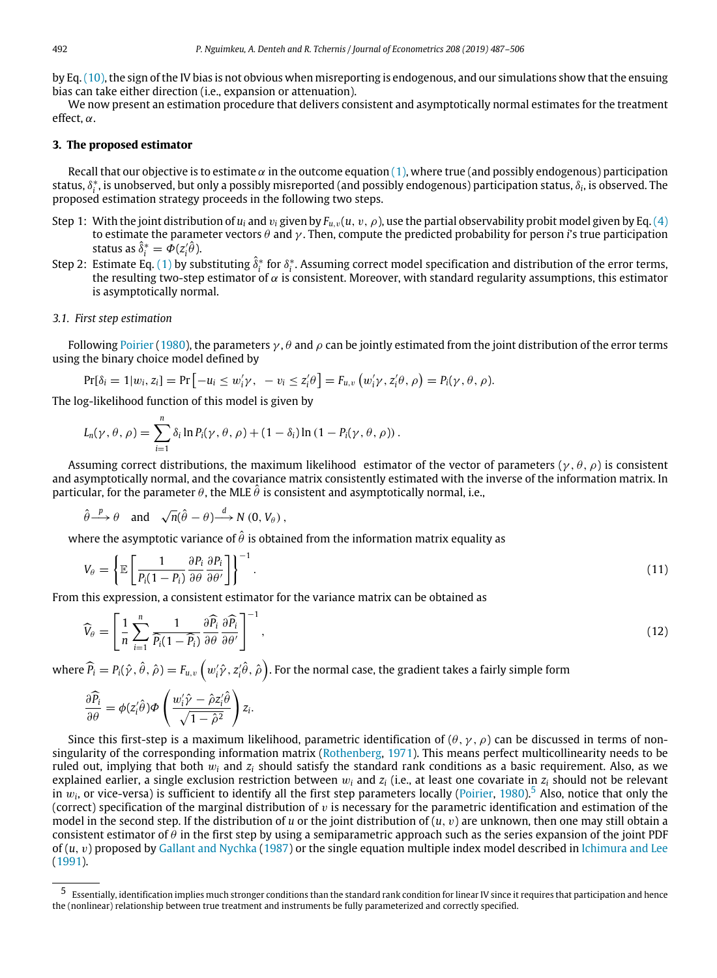by Eq.([10](#page-4-1)), the sign of the IV bias is not obvious when misreporting is endogenous, and our simulations show that the ensuing bias can take either direction (i.e., expansion or attenuation).

We now present an estimation procedure that delivers consistent and asymptotically normal estimates for the treatment effect, α.

# **3. The proposed estimator**

<span id="page-5-0"></span>Recall that our objective is to estimate  $\alpha$  in the outcome equation ([1](#page-2-8)), where true (and possibly endogenous) participation status, δ ∗ *i* , is unobserved, but only a possibly misreported (and possibly endogenous) participation status, δ*<sup>i</sup>* , is observed. The proposed estimation strategy proceeds in the following two steps.

- Step 1: With the joint distribution of  $u_i$  and  $v_i$  given by  $F_{u,v}(u, v, \rho)$ , use the partial observability probit model given by Eq. ([4](#page-2-9)) to estimate the parameter vectors θ and γ . Then, compute the predicted probability for person *i*'s true participation status as  $\delta_i^* = \Phi(z_i^{\prime} \theta)$ .
- Step 2: Estimate Eq. ([1](#page-2-8)) by substituting  $\delta_i^*$  for  $\delta_i^*$ . Assuming correct model specification and distribution of the error terms, the resulting two-step estimator of  $\alpha$  is consistent. Moreover, with standard regularity assumptions, this estimator is asymptotically normal.

## *3.1. First step estimation*

Following [Poirier](#page-19-4) ([1980\)](#page-19-4), the parameters  $\gamma$ ,  $\theta$  and  $\rho$  can be jointly estimated from the joint distribution of the error terms using the binary choice model defined by

$$
Pr[\delta_i = 1 | w_i, z_i] = Pr[-u_i \le w'_i \gamma, -v_i \le z'_i \theta] = F_{u,v}(w'_i \gamma, z'_i \theta, \rho) = P_i(\gamma, \theta, \rho).
$$

The log-likelihood function of this model is given by

$$
L_n(\gamma,\theta,\rho)=\sum_{i=1}^n\delta_i\ln P_i(\gamma,\theta,\rho)+(1-\delta_i)\ln(1-P_i(\gamma,\theta,\rho)).
$$

Assuming correct distributions, the maximum likelihood estimator of the vector of parameters ( $\gamma$ ,  $\theta$ ,  $\rho$ ) is consistent and asymptotically normal, and the covariance matrix consistently estimated with the inverse of the information matrix. In particular, for the parameter  $\theta$ , the MLE  $\hat{\theta}$  is consistent and asymptotically normal, i.e.,

$$
\hat{\theta} \stackrel{p}{\longrightarrow} \theta
$$
 and  $\sqrt{n}(\hat{\theta} - \theta) \stackrel{d}{\longrightarrow} N(0, V_{\theta}),$ 

where the asymptotic variance of  $\hat{\theta}$  is obtained from the information matrix equality as

$$
V_{\theta} = \left\{ \mathbb{E} \left[ \frac{1}{P_i (1 - P_i)} \frac{\partial P_i}{\partial \theta} \frac{\partial P_i}{\partial \theta'} \right] \right\}^{-1}.
$$
\n(11)

From this expression, a consistent estimator for the variance matrix can be obtained as

$$
\widehat{V}_{\theta} = \left[ \frac{1}{n} \sum_{i=1}^{n} \frac{1}{\widehat{P}_{i} (1 - \widehat{P}_{i})} \frac{\partial \widehat{P}_{i}}{\partial \theta} \frac{\partial \widehat{P}_{i}}{\partial \theta'} \right]^{-1},
$$
\n(12)

where  $\widehat P_i=P_i(\hat\gamma,\hat\theta,\hat\rho)=F_{u,v}\left(w_i'\hat\gamma,z_i'\hat\theta,\hat\rho\right)$ . For the normal case, the gradient takes a fairly simple form

$$
\frac{\partial \widehat{P}_i}{\partial \theta} = \phi(z_i'\hat{\theta})\Phi\left(\frac{w_i'\hat{\gamma} - \hat{\rho}z_i'\hat{\theta}}{\sqrt{1 - \hat{\rho}^2}}\right)z_i.
$$

Since this first-step is a maximum likelihood, parametric identification of  $(\theta, \gamma, \rho)$  can be discussed in terms of nonsingularity of the corresponding information matrix [\(Rothenberg,](#page-19-6) [1971](#page-19-6)). This means perfect multicollinearity needs to be ruled out, implying that both w*<sup>i</sup>* and *z<sup>i</sup>* should satisfy the standard rank conditions as a basic requirement. Also, as we explained earlier, a single exclusion restriction between  $w_i$  and  $z_i$  (i.e., at least one covariate in  $z_i$  should not be relevant in  $w_i$ , or vice-versa) is sufficient to identify all the first step parameters locally [\(Poirier,](#page-19-4) [1980](#page-19-4)).<sup>[5](#page-5-1)</sup> Also, notice that only the (correct) specification of the marginal distribution of  $v$  is necessary for the parametric identification and estimation of the model in the second step. If the distribution of *u* or the joint distribution of (*u*, v) are unknown, then one may still obtain a consistent estimator of  $\theta$  in the first step by using a semiparametric approach such as the series expansion of the joint PDF of (*u*, v) proposed by [Gallant and Nychka](#page-18-27) [\(1987](#page-18-27)) or the single equation multiple index model described in [Ichimura and Lee](#page-18-28) ([1991](#page-18-28)).

<span id="page-5-1"></span><sup>5</sup> Essentially, identification implies much stronger conditions than the standard rank condition for linear IV since it requires that participation and hence the (nonlinear) relationship between true treatment and instruments be fully parameterized and correctly specified.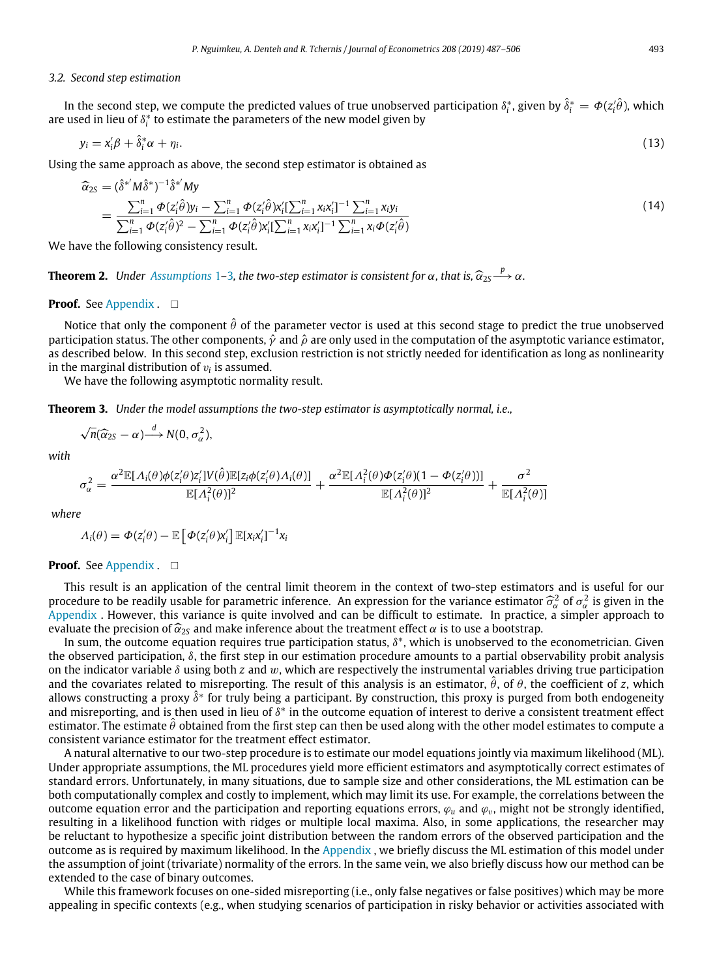### *3.2. Second step estimation*

In the second step, we compute the predicted values of true unobserved participation  $\delta_i^*$ , given by  $\delta_i^* = \Phi(z_i^j \theta)$ , which are used in lieu of  $\delta_i^*$  to estimate the parameters of the new model given by

$$
y_i = x_i' \beta + \hat{\delta}_i^* \alpha + \eta_i. \tag{13}
$$

Using the same approach as above, the second step estimator is obtained as

<span id="page-6-0"></span>
$$
\begin{split} \widehat{\alpha}_{2S} &= (\widehat{\delta}^{*'} M \widehat{\delta}^{*})^{-1} \widehat{\delta}^{*'} M y \\ &= \frac{\sum_{i=1}^{n} \Phi(z_{i}' \widehat{\theta}) y_{i} - \sum_{i=1}^{n} \Phi(z_{i}' \widehat{\theta}) x_{i}' \left[\sum_{i=1}^{n} x_{i} x_{i}'\right]^{-1} \sum_{i=1}^{n} x_{i} y_{i}}{\sum_{i=1}^{n} \Phi(z_{i}' \widehat{\theta})^{2} - \sum_{i=1}^{n} \Phi(z_{i}' \widehat{\theta}) x_{i}' \left[\sum_{i=1}^{n} x_{i} x_{i}'\right]^{-1} \sum_{i=1}^{n} x_{i} \Phi(z_{i}' \widehat{\theta})} \end{split} \tag{14}
$$

<span id="page-6-1"></span>We have the following consistency result.

**Theorem 2.** *Under [Assumptions](#page-2-4)* [1](#page-2-4)–[3](#page-2-6), the two-step estimator is consistent for  $\alpha$ , that is,  $\hat{\alpha}_{2S} \rightarrow \alpha$ .

## **Proof.** See [Appendix](#page-12-1) . □

Notice that only the component  $\hat{\theta}$  of the parameter vector is used at this second stage to predict the true unobserved participation status. The other components,  $\hat{y}$  and  $\hat{\rho}$  are only used in the computation of the asymptotic variance estimator, as described below. In this second step, exclusion restriction is not strictly needed for identification as long as nonlinearity in the marginal distribution of  $v_i$  is assumed.

We have the following asymptotic normality result.

<span id="page-6-2"></span>**Theorem 3.** *Under the model assumptions the two-step estimator is asymptotically normal, i.e.,*

$$
\sqrt{n}(\widehat{\alpha}_{2S}-\alpha) \stackrel{d}{\longrightarrow} N(0,\sigma_{\alpha}^2),
$$

*with*

$$
\sigma_{\alpha}^2 = \frac{\alpha^2 \mathbb{E}[A_i(\theta)\phi(z_i'\theta)z_i']V(\hat{\theta})\mathbb{E}[z_i\phi(z_i'\theta)A_i(\theta)]}{\mathbb{E}[A_i^2(\theta)]^2} + \frac{\alpha^2 \mathbb{E}[A_i^2(\theta)\phi(z_i'\theta)(1-\phi(z_i'\theta))]}{\mathbb{E}[A_i^2(\theta)]^2} + \frac{\sigma^2}{\mathbb{E}[A_i^2(\theta)]}
$$

*where*

$$
\Lambda_i(\theta) = \Phi(z'_i\theta) - \mathbb{E}\left[\Phi(z'_i\theta)x'_i\right]\mathbb{E}[x_ix'_i]^{-1}x_i
$$

## **Proof.** See [Appendix](#page-12-1) . □

This result is an application of the central limit theorem in the context of two-step estimators and is useful for our procedure to be readily usable for parametric inference. An expression for the variance estimator  $\hat{\sigma}_{\alpha}^2$  of  $\sigma_{\alpha}^2$  is given in the Annondix. However, this variance is quite involved and can be difficult to estim [Appendix](#page-12-1) . However, this variance is quite involved and can be difficult to estimate. In practice, a simpler approach to evaluate the precision of  $\hat{\alpha}_{2s}$  and make inference about the treatment effect  $\alpha$  is to use a bootstrap.

In sum, the outcome equation requires true participation status,  $\delta^*$ , which is unobserved to the econometrician. Given the observed participation,  $\delta$ , the first step in our estimation procedure amounts to a partial observability probit analysis on the indicator variable  $\delta$  using both *z* and w, which are respectively the instrumental variables driving true participation and the covariates related to misreporting. The result of this analysis is an estimator,  $\hat{\theta}$ , of  $\theta$ , the coefficient of *z*, which allows constructing a proxy  $\delta^*$  for truly being a participant. By construction, this proxy is purged from both endogeneity and misreporting, and is then used in lieu of  $\delta^*$  in the outcome equation of interest to derive a consistent treatment effect estimator. The estimate  $\hat{\theta}$  obtained from the first step can then be used along with the other model estimates to compute a consistent variance estimator for the treatment effect estimator.

A natural alternative to our two-step procedure is to estimate our model equations jointly via maximum likelihood (ML). Under appropriate assumptions, the ML procedures yield more efficient estimators and asymptotically correct estimates of standard errors. Unfortunately, in many situations, due to sample size and other considerations, the ML estimation can be both computationally complex and costly to implement, which may limit its use. For example, the correlations between the outcome equation error and the participation and reporting equations errors,  $\varphi_u$  and  $\varphi_v$ , might not be strongly identified, resulting in a likelihood function with ridges or multiple local maxima. Also, in some applications, the researcher may be reluctant to hypothesize a specific joint distribution between the random errors of the observed participation and the outcome as is required by maximum likelihood. In the [Appendix](#page-12-1) , we briefly discuss the ML estimation of this model under the assumption of joint (trivariate) normality of the errors. In the same vein, we also briefly discuss how our method can be extended to the case of binary outcomes.

While this framework focuses on one-sided misreporting (i.e., only false negatives or false positives) which may be more appealing in specific contexts (e.g., when studying scenarios of participation in risky behavior or activities associated with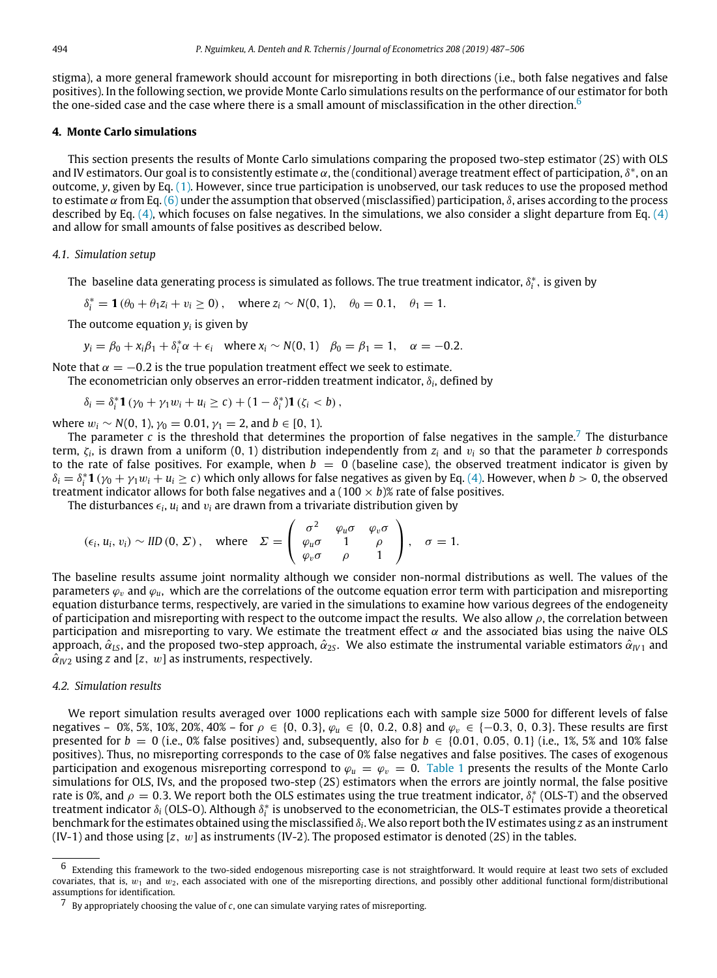stigma), a more general framework should account for misreporting in both directions (i.e., both false negatives and false positives). In the following section, we provide Monte Carlo simulations results on the performance of our estimator for both the one-sided case and the case where there is a small amount of misclassification in the other direction.<sup>[6](#page-7-1)</sup>

# **4. Monte Carlo simulations**

<span id="page-7-0"></span>This section presents the results of Monte Carlo simulations comparing the proposed two-step estimator (2S) with OLS and IV estimators. Our goal is to consistently estimate  $\alpha$ , the (conditional) average treatment effect of participation,  $\delta^*$ , on an outcome, *y*, given by Eq. ([1\)](#page-2-8). However, since true participation is unobserved, our task reduces to use the proposed method to estimate  $\alpha$  from Eq. ([6](#page-3-1)) under the assumption that observed (misclassified) participation,  $\delta$ , arises according to the process described by Eq.  $(4)$ , which focuses on false negatives. In the simulations, we also consider a slight departure from Eq.  $(4)$  $(4)$  $(4)$ and allow for small amounts of false positives as described below.

## *4.1. Simulation setup*

The  $\,$ baseline data generating process is simulated as follows. The true treatment indicator,  $\delta_i^*$ , is given by

 $\delta_i^* = \mathbf{1}(\theta_0 + \theta_1 z_i + v_i \ge 0)$ , where  $z_i \sim N(0, 1)$ ,  $\theta_0 = 0.1$ ,  $\theta_1 = 1$ .

The outcome equation *y<sup>i</sup>* is given by

$$
y_i = \beta_0 + x_i \beta_1 + \delta_i^* \alpha + \epsilon_i
$$
 where  $x_i \sim N(0, 1)$   $\beta_0 = \beta_1 = 1$ ,  $\alpha = -0.2$ .

Note that  $\alpha = -0.2$  is the true population treatment effect we seek to estimate. The econometrician only observes an error-ridden treatment indicator,  $\delta_{i}$ , defined by

$$
\delta_i = \delta_i^* \mathbf{1} \left( \gamma_0 + \gamma_1 w_i + u_i \geq c \right) + \left( 1 - \delta_i^* \right) \mathbf{1} \left( \zeta_i < b \right),
$$

where  $w_i$  ∼ *N*(0, 1),  $\gamma_0$  = 0.01,  $\gamma_1$  = 2, and *b* ∈ [0, 1).

The parameter *c* is the threshold that determines the proportion of false negatives in the sample.<sup>[7](#page-7-2)</sup> The disturbance term, ζ*<sup>i</sup>* , is drawn from a uniform (0, 1) distribution independently from *z<sup>i</sup>* and v*<sup>i</sup>* so that the parameter *b* corresponds to the rate of false positives. For example, when  $b = 0$  (baseline case), the observed treatment indicator is given by  $\delta_i = \delta_i^* \mathbf{1} (\gamma_0 + \gamma_1 w_i + u_i \geq c)$  which only allows for false negatives as given by Eq. [\(4](#page-2-9)). However, when  $b > 0$ , the observed treatment indicator allows for both false negatives and a  $(100 \times b)$ % rate of false positives.

The disturbances  $\epsilon_i$ ,  $u_i$  and  $v_i$  are drawn from a trivariate distribution given by

$$
(\epsilon_i, u_i, v_i) \sim \text{IID}(0, \Sigma), \quad \text{where} \quad \Sigma = \begin{pmatrix} \sigma^2 & \varphi_u \sigma & \varphi_v \sigma \\ \varphi_u \sigma & 1 & \rho \\ \varphi_v \sigma & \rho & 1 \end{pmatrix}, \quad \sigma = 1.
$$

The baseline results assume joint normality although we consider non-normal distributions as well. The values of the parameters  $\varphi_v$  and  $\varphi_u$ , which are the correlations of the outcome equation error term with participation and misreporting equation disturbance terms, respectively, are varied in the simulations to examine how various degrees of the endogeneity of participation and misreporting with respect to the outcome impact the results. We also allow  $\rho$ , the correlation between participation and misreporting to vary. We estimate the treatment effect  $\alpha$  and the associated bias using the naive OLS approach,  $\hat{\alpha}_{LS}$ , and the proposed two-step approach,  $\hat{\alpha}_{25}$ . We also estimate the instrumental variable estimators  $\hat{\alpha}_{N1}$  and  $\hat{\alpha}_{IV2}$  using *z* and [*z*, *w*] as instruments, respectively.

# *4.2. Simulation results*

We report simulation results averaged over 1000 replications each with sample size 5000 for different levels of false negatives – 0%, 5%, 10%, 20%, 40% – for  $\rho \in \{0, 0.3\}$ ,  $\varphi_u \in \{0, 0.2, 0.8\}$  and  $\varphi_v \in \{-0.3, 0, 0.3\}$ . These results are first presented for  $b = 0$  (i.e., 0% false positives) and, subsequently, also for  $b \in \{0.01, 0.05, 0.1\}$  (i.e., 1%, 5% and 10% false positives). Thus, no misreporting corresponds to the case of 0% false negatives and false positives. The cases of exogenous participation and exogenous misreporting correspond to  $\varphi_u = \varphi_v = 0$ . [Table 1](#page-8-0) presents the results of the Monte Carlo simulations for OLS, IVs, and the proposed two-step (2S) estimators when the errors are jointly normal, the false positive rate is 0%, and  $\rho = 0.3$ . We report both the OLS estimates using the true treatment indicator,  $\delta_i^*$  (OLS-T) and the observed treatment indicator δ<sub>i</sub> (OLS-O). Although δ $^*_i$  is unobserved to the econometrician, the OLS-T estimates provide a theoretical benchmark for the estimates obtained using the misclassified  $\delta_{\rm i}$ . We also report both the IV estimates using  $z$  as an instrument (IV-1) and those using  $[z, w]$  as instruments (IV-2). The proposed estimator is denoted (2S) in the tables.

<span id="page-7-1"></span><sup>6</sup> Extending this framework to the two-sided endogenous misreporting case is not straightforward. It would require at least two sets of excluded covariates, that is,  $w_1$  and  $w_2$ , each associated with one of the misreporting directions, and possibly other additional functional form/distributional assumptions for identification.

<span id="page-7-2"></span><sup>7</sup> By appropriately choosing the value of *c*, one can simulate varying rates of misreporting.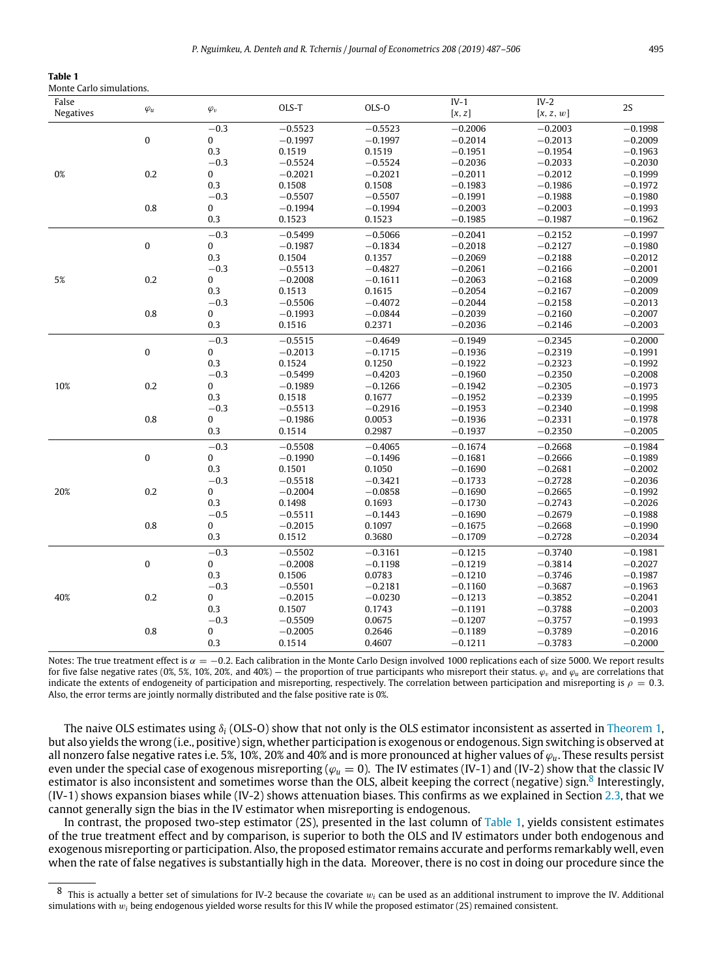<span id="page-8-0"></span>

| Table 1                  |  |
|--------------------------|--|
| Monte Carlo simulations. |  |

| False     |              |              | OLS-T     | OLS-O     | $IV-1$    | $IV-2$    | 2S        |
|-----------|--------------|--------------|-----------|-----------|-----------|-----------|-----------|
| Negatives | $\varphi_u$  | $\varphi_v$  |           |           | [x, z]    | [x, z, w] |           |
|           |              | $-0.3$       | $-0.5523$ | $-0.5523$ | $-0.2006$ | $-0.2003$ | $-0.1998$ |
|           | $\pmb{0}$    | $\bf{0}$     | $-0.1997$ | $-0.1997$ | $-0.2014$ | $-0.2013$ | $-0.2009$ |
|           |              | 0.3          | 0.1519    | 0.1519    | $-0.1951$ | $-0.1954$ | $-0.1963$ |
|           |              | $-0.3$       | $-0.5524$ | $-0.5524$ | $-0.2036$ | $-0.2033$ | $-0.2030$ |
| 0%        | 0.2          | $\bf{0}$     | $-0.2021$ | $-0.2021$ | $-0.2011$ | $-0.2012$ | $-0.1999$ |
|           |              | 0.3          | 0.1508    | 0.1508    | $-0.1983$ | $-0.1986$ | $-0.1972$ |
|           |              | $-0.3$       | $-0.5507$ | $-0.5507$ | $-0.1991$ | $-0.1988$ | $-0.1980$ |
|           | 0.8          | $\mathbf{0}$ | $-0.1994$ | $-0.1994$ | $-0.2003$ | $-0.2003$ | $-0.1993$ |
|           |              | 0.3          | 0.1523    | 0.1523    | $-0.1985$ | $-0.1987$ | $-0.1962$ |
|           |              | $-0.3$       | $-0.5499$ | $-0.5066$ | $-0.2041$ | $-0.2152$ | $-0.1997$ |
|           | $\pmb{0}$    | $\bf{0}$     | $-0.1987$ | $-0.1834$ | $-0.2018$ | $-0.2127$ | $-0.1980$ |
|           |              | 0.3          | 0.1504    | 0.1357    | $-0.2069$ | $-0.2188$ | $-0.2012$ |
|           |              | $-0.3$       | $-0.5513$ | $-0.4827$ | $-0.2061$ | $-0.2166$ | $-0.2001$ |
| 5%        | 0.2          | $\mathbf 0$  | $-0.2008$ | $-0.1611$ | $-0.2063$ | $-0.2168$ | $-0.2009$ |
|           |              | 0.3          | 0.1513    | 0.1615    | $-0.2054$ | $-0.2167$ | $-0.2009$ |
|           |              | $-0.3$       | $-0.5506$ | $-0.4072$ | $-0.2044$ | $-0.2158$ | $-0.2013$ |
|           | 0.8          | 0            | $-0.1993$ | $-0.0844$ | $-0.2039$ | $-0.2160$ | $-0.2007$ |
|           |              | 0.3          | 0.1516    | 0.2371    | $-0.2036$ | $-0.2146$ | $-0.2003$ |
|           |              | $-0.3$       | $-0.5515$ | $-0.4649$ | $-0.1949$ | $-0.2345$ | $-0.2000$ |
|           | $\mathbf{0}$ | $\bf{0}$     | $-0.2013$ | $-0.1715$ | $-0.1936$ | $-0.2319$ | $-0.1991$ |
|           |              | 0.3          | 0.1524    | 0.1250    | $-0.1922$ | $-0.2323$ | $-0.1992$ |
|           |              | $-0.3$       | $-0.5499$ | $-0.4203$ | $-0.1960$ | $-0.2350$ | $-0.2008$ |
| 10%       | 0.2          | $\mathbf{0}$ | $-0.1989$ | $-0.1266$ | $-0.1942$ | $-0.2305$ | $-0.1973$ |
|           |              | 0.3          | 0.1518    | 0.1677    | $-0.1952$ | $-0.2339$ | $-0.1995$ |
|           |              | $-0.3$       | $-0.5513$ | $-0.2916$ | $-0.1953$ | $-0.2340$ | $-0.1998$ |
|           | 0.8          | $\bf{0}$     | $-0.1986$ | 0.0053    | $-0.1936$ | $-0.2331$ | $-0.1978$ |
|           |              | 0.3          | 0.1514    | 0.2987    | $-0.1937$ | $-0.2350$ | $-0.2005$ |
|           |              | $-0.3$       | $-0.5508$ | $-0.4065$ | $-0.1674$ | $-0.2668$ | $-0.1984$ |
|           | $\pmb{0}$    | $\bf{0}$     | $-0.1990$ | $-0.1496$ | $-0.1681$ | $-0.2666$ | $-0.1989$ |
|           |              | 0.3          | 0.1501    | 0.1050    | $-0.1690$ | $-0.2681$ | $-0.2002$ |
|           |              | $-0.3$       | $-0.5518$ | $-0.3421$ | $-0.1733$ | $-0.2728$ | $-0.2036$ |
| 20%       | 0.2          | $\mathbf{0}$ | $-0.2004$ | $-0.0858$ | $-0.1690$ | $-0.2665$ | $-0.1992$ |
|           |              | 0.3          | 0.1498    | 0.1693    | $-0.1730$ | $-0.2743$ | $-0.2026$ |
|           |              | $-0.5$       | $-0.5511$ | $-0.1443$ | $-0.1690$ | $-0.2679$ | $-0.1988$ |
|           | 0.8          | $\bf{0}$     | $-0.2015$ | 0.1097    | $-0.1675$ | $-0.2668$ | $-0.1990$ |
|           |              | 0.3          | 0.1512    | 0.3680    | $-0.1709$ | $-0.2728$ | $-0.2034$ |
|           |              | $-0.3$       | $-0.5502$ | $-0.3161$ | $-0.1215$ | $-0.3740$ | $-0.1981$ |
|           | $\bf{0}$     | $\mathbf{0}$ | $-0.2008$ | $-0.1198$ | $-0.1219$ | $-0.3814$ | $-0.2027$ |
|           |              | 0.3          | 0.1506    | 0.0783    | $-0.1210$ | $-0.3746$ | $-0.1987$ |
|           |              | $-0.3$       | $-0.5501$ | $-0.2181$ | $-0.1160$ | $-0.3687$ | $-0.1963$ |
| 40%       | 0.2          | $\bf{0}$     | $-0.2015$ | $-0.0230$ | $-0.1213$ | $-0.3852$ | $-0.2041$ |
|           |              | 0.3          | 0.1507    | 0.1743    | $-0.1191$ | $-0.3788$ | $-0.2003$ |
|           |              | $-0.3$       | $-0.5509$ | 0.0675    | $-0.1207$ | $-0.3757$ | $-0.1993$ |
|           | 0.8          | 0            | $-0.2005$ | 0.2646    | $-0.1189$ | $-0.3789$ | $-0.2016$ |
|           |              | 0.3          | 0.1514    | 0.4607    | $-0.1211$ | $-0.3783$ | $-0.2000$ |
|           |              |              |           |           |           |           |           |

Notes: The true treatment effect is  $\alpha = -0.2$ . Each calibration in the Monte Carlo Design involved 1000 replications each of size 5000. We report results for five false negative rates (0%, 5%, 10%, 20%, and 40%) — the proportion of true participants who misreport their status.  $\varphi$ <sub>*n*</sub> and  $\varphi$ <sub>*u*</sub> are correlations that indicate the extents of endogeneity of participation and misreporting, respectively. The correlation between participation and misreporting is  $\rho = 0.3$ . Also, the error terms are jointly normally distributed and the false positive rate is 0%.

The naive OLS estimates using  $\delta_i$  (OLS-O) show that not only is the OLS estimator inconsistent as asserted in [Theorem 1](#page-3-5), but also yields the wrong (i.e., positive) sign, whether participation is exogenous or endogenous. Sign switching is observed at all nonzero false negative rates i.e. 5%, 10%, 20% and 40% and is more pronounced at higher values of ϕ*u*. These results persist even under the special case of exogenous misreporting ( $\varphi_u = 0$ ). The IV estimates (IV-1) and (IV-2) show that the classic IV estimator is also inconsistent and sometimes worse than the OLS, albeit keeping the correct (negative) sign.<sup>[8](#page-8-1)</sup> Interestingly, (IV-1) shows expansion biases while (IV-2) shows attenuation biases. This confirms as we explained in Section [2.3](#page-4-2), that we cannot generally sign the bias in the IV estimator when misreporting is endogenous.

In contrast, the proposed two-step estimator (2S), presented in the last column of [Table 1](#page-8-0), yields consistent estimates of the true treatment effect and by comparison, is superior to both the OLS and IV estimators under both endogenous and exogenous misreporting or participation. Also, the proposed estimator remains accurate and performs remarkably well, even when the rate of false negatives is substantially high in the data. Moreover, there is no cost in doing our procedure since the

<span id="page-8-1"></span>This is actually a better set of simulations for IV-2 because the covariate  $w_i$  can be used as an additional instrument to improve the IV. Additional simulations with w*<sup>i</sup>* being endogenous yielded worse results for this IV while the proposed estimator (2S) remained consistent.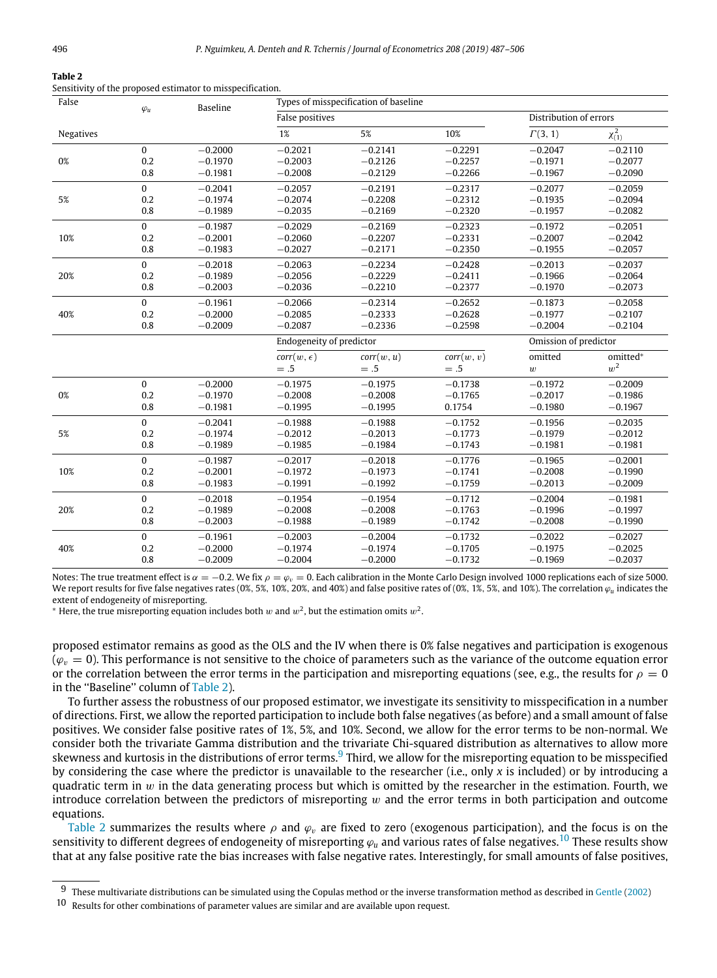#### **Table 2**

<span id="page-9-0"></span>Sensitivity of the proposed estimator to misspecification.

| False     | $\varphi_u$      | <b>Baseline</b>        | Types of misspecification of baseline<br>False positives<br>Distribution of errors |                        |                        |                        |                        |
|-----------|------------------|------------------------|------------------------------------------------------------------------------------|------------------------|------------------------|------------------------|------------------------|
|           |                  |                        |                                                                                    |                        |                        |                        |                        |
| Negatives |                  |                        | 1%                                                                                 | 5%                     | 10%                    | $\Gamma(3,1)$          | $\chi_{(1)}^2$         |
|           | $\mathbf{0}$     | $-0.2000$              | $-0.2021$                                                                          | $-0.2141$              | $-0.2291$              | $-0.2047$              | $-0.2110$              |
| 0%        | 0.2              | $-0.1970$              | $-0.2003$                                                                          | $-0.2126$              | $-0.2257$              | $-0.1971$              | $-0.2077$              |
|           | 0.8              | $-0.1981$              | $-0.2008$                                                                          | $-0.2129$              | $-0.2266$              | $-0.1967$              | $-0.2090$              |
|           | $\mathbf{0}$     | $-0.2041$              | $-0.2057$                                                                          | $-0.2191$              | $-0.2317$              | $-0.2077$              | $-0.2059$              |
| 5%        | 0.2              | $-0.1974$              | $-0.2074$                                                                          | $-0.2208$              | $-0.2312$              | $-0.1935$              | $-0.2094$              |
|           | 0.8              | $-0.1989$              | $-0.2035$                                                                          | $-0.2169$              | $-0.2320$              | $-0.1957$              | $-0.2082$              |
|           | $\Omega$         | $-0.1987$              | $-0.2029$                                                                          | $-0.2169$              | $-0.2323$              | $-0.1972$              | $-0.2051$              |
| 10%       | 0.2              | $-0.2001$              | $-0.2060$                                                                          | $-0.2207$              | $-0.2331$              | $-0.2007$              | $-0.2042$              |
|           | 0.8              | $-0.1983$              | $-0.2027$                                                                          | $-0.2171$              | $-0.2350$              | $-0.1955$              | $-0.2057$              |
|           | $\Omega$         | $-0.2018$              | $-0.2063$                                                                          | $-0.2234$              | $-0.2428$              | $-0.2013$              | $-0.2037$              |
| 20%       | 0.2              | $-0.1989$              | $-0.2056$                                                                          | $-0.2229$              | $-0.2411$              | $-0.1966$              | $-0.2064$              |
|           | 0.8              | $-0.2003$              | $-0.2036$                                                                          | $-0.2210$              | $-0.2377$              | $-0.1970$              | $-0.2073$              |
|           | $\mathbf{0}$     | $-0.1961$              | $-0.2066$                                                                          | $-0.2314$              | $-0.2652$              | $-0.1873$              | $-0.2058$              |
| 40%       | 0.2              | $-0.2000$              | $-0.2085$                                                                          | $-0.2333$              | $-0.2628$              | $-0.1977$              | $-0.2107$              |
|           | 0.8              | $-0.2009$              | $-0.2087$                                                                          | $-0.2336$              | $-0.2598$              | $-0.2004$              | $-0.2104$              |
|           |                  |                        |                                                                                    |                        |                        |                        |                        |
|           |                  |                        | Endogeneity of predictor                                                           |                        |                        | Omission of predictor  |                        |
|           |                  |                        | $corr(w, \epsilon)$                                                                | corr(w, u)             | corr(w, v)             | omitted                | omitted*               |
|           |                  |                        | $=.5$                                                                              | $=.5$                  | $=.5$                  | $\boldsymbol{w}$       | $w^2$                  |
|           | $\mathbf{0}$     | $-0.2000$              | $-0.1975$                                                                          | $-0.1975$              | $-0.1738$              | $-0.1972$              | $-0.2009$              |
| 0%        | 0.2              | $-0.1970$              | $-0.2008$                                                                          | $-0.2008$              | $-0.1765$              | $-0.2017$              | $-0.1986$              |
|           | 0.8              | $-0.1981$              | $-0.1995$                                                                          | $-0.1995$              | 0.1754                 | $-0.1980$              | $-0.1967$              |
|           | $\mathbf{0}$     | $-0.2041$              | $-0.1988$                                                                          | $-0.1988$              | $-0.1752$              | $-0.1956$              | $-0.2035$              |
| 5%        | 0.2              | $-0.1974$              | $-0.2012$                                                                          | $-0.2013$              | $-0.1773$              | $-0.1979$              | $-0.2012$              |
|           | 0.8              | $-0.1989$              | $-0.1985$                                                                          | $-0.1984$              | $-0.1743$              | $-0.1981$              | $-0.1981$              |
|           | $\mathbf{0}$     | $-0.1987$              | $-0.2017$                                                                          | $-0.2018$              | $-0.1776$              | $-0.1965$              | $-0.2001$              |
| 10%       | 0.2              | $-0.2001$              | $-0.1972$                                                                          | $-0.1973$              | $-0.1741$              | $-0.2008$              | $-0.1990$              |
|           | 0.8              | $-0.1983$              | $-0.1991$                                                                          | $-0.1992$              | $-0.1759$              | $-0.2013$              | $-0.2009$              |
|           | $\mathbf{0}$     | $-0.2018$              | $-0.1954$                                                                          | $-0.1954$              | $-0.1712$              | $-0.2004$              | $-0.1981$              |
| 20%       | 0.2              | $-0.1989$              | $-0.2008$                                                                          | $-0.2008$              | $-0.1763$              | $-0.1996$              | $-0.1997$              |
|           | 0.8              | $-0.2003$              | $-0.1988$                                                                          | $-0.1989$              | $-0.1742$              | $-0.2008$              | $-0.1990$              |
|           | $\boldsymbol{0}$ | $-0.1961$              | $-0.2003$                                                                          | $-0.2004$              | $-0.1732$              | $-0.2022$              | $-0.2027$              |
| 40%       | 0.2<br>0.8       | $-0.2000$<br>$-0.2009$ | $-0.1974$<br>$-0.2004$                                                             | $-0.1974$<br>$-0.2000$ | $-0.1705$<br>$-0.1732$ | $-0.1975$<br>$-0.1969$ | $-0.2025$<br>$-0.2037$ |

Notes: The true treatment effect is  $\alpha = -0.2$ . We fix  $\rho = \varphi_v = 0$ . Each calibration in the Monte Carlo Design involved 1000 replications each of size 5000. We report results for five false negatives rates (0%, 5%, 10%, 20%, and 40%) and false positive rates of (0%, 1%, 5%, and 10%). The correlation  $\varphi_u$  indicates the extent of endogeneity of misreporting.

 $^*$  Here, the true misreporting equation includes both  $w$  and  $w^2$ , but the estimation omits  $w^2$ .

proposed estimator remains as good as the OLS and the IV when there is 0% false negatives and participation is exogenous  $(\varphi_{v} = 0)$ . This performance is not sensitive to the choice of parameters such as the variance of the outcome equation error or the correlation between the error terms in the participation and misreporting equations (see, e.g., the results for  $\rho = 0$ in the ''Baseline'' column of [Table 2](#page-9-0)).

To further assess the robustness of our proposed estimator, we investigate its sensitivity to misspecification in a number of directions. First, we allow the reported participation to include both false negatives (as before) and a small amount of false positives. We consider false positive rates of 1%, 5%, and 10%. Second, we allow for the error terms to be non-normal. We consider both the trivariate Gamma distribution and the trivariate Chi-squared distribution as alternatives to allow more skewness and kurtosis in the distributions of error terms. $9$  Third, we allow for the misreporting equation to be misspecified by considering the case where the predictor is unavailable to the researcher (i.e., only *x* is included) or by introducing a quadratic term in w in the data generating process but which is omitted by the researcher in the estimation. Fourth, we introduce correlation between the predictors of misreporting  $w$  and the error terms in both participation and outcome equations.

[Table 2](#page-9-0) summarizes the results where  $\rho$  and  $\varphi$ , are fixed to zero (exogenous participation), and the focus is on the sensitivity to different degrees of endogeneity of misreporting  $\varphi_u$  and various rates of false negatives.<sup>[10](#page-9-2)</sup> These results show that at any false positive rate the bias increases with false negative rates. Interestingly, for small amounts of false positives,

<span id="page-9-1"></span><sup>9</sup> These multivariate distributions can be simulated using the Copulas method or the inverse transformation method as described in [Gentle](#page-18-29) ([2002](#page-18-29))

<span id="page-9-2"></span><sup>10</sup> Results for other combinations of parameter values are similar and are available upon request.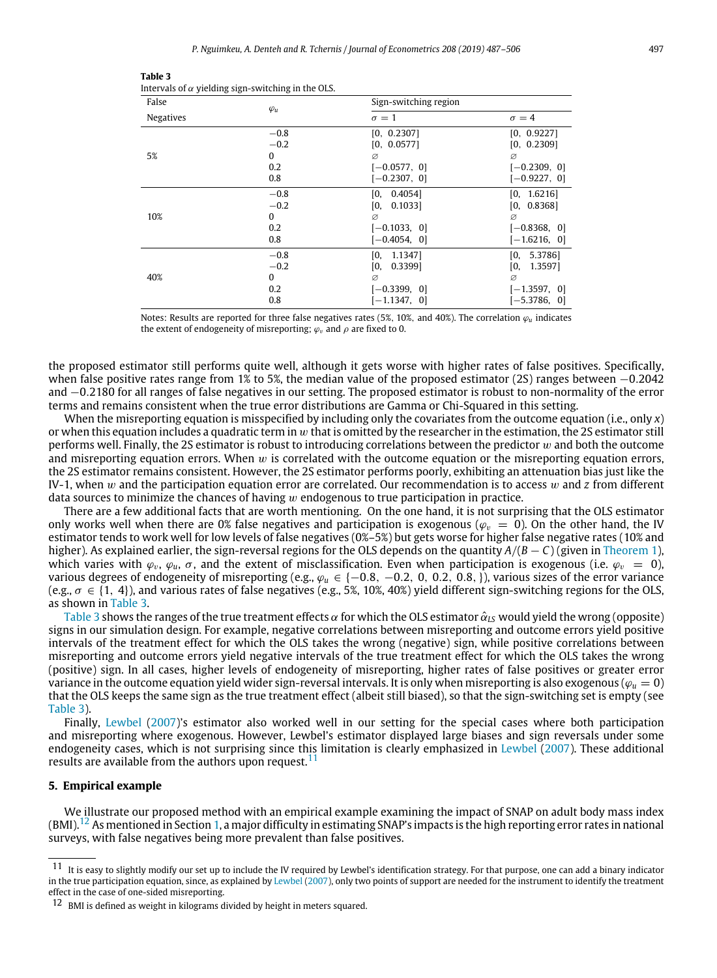| False            | $\varphi_u$                                | Sign-switching region                                                  |                                                                           |  |  |
|------------------|--------------------------------------------|------------------------------------------------------------------------|---------------------------------------------------------------------------|--|--|
| <b>Negatives</b> |                                            | $\sigma=1$                                                             | $\sigma = 4$                                                              |  |  |
| 5%               | $-0.8$<br>$-0.2$<br>$\bf{0}$<br>0.2<br>0.8 | [0, 0.2307]<br>[0, 0.0577]<br>ø<br>$[-0.0577, 0]$<br>$[-0.2307, 0]$    | [0, 0.9227]<br>[0, 0.2309]<br>Ø<br>$[-0.2309, 0]$<br>$[-0.9227, 0]$       |  |  |
| 10%              | $-0.8$<br>$-0.2$<br>$\bf{0}$<br>0.2<br>0.8 | [0, 0.4054]<br>IО.<br>0.1033<br>ø<br>$[-0.1033, 0]$<br>$[-0.4054, 0]$  | [0, 1.6216]<br>[0, 0.8368]<br>Ø<br>$[-0.8368, 0]$<br>$[-1.6216, 0]$       |  |  |
| 40%              | $-0.8$<br>$-0.2$<br>$\bf{0}$<br>0.2<br>0.8 | [0, 1.1347]<br>[0,<br>0.33991<br>Ø<br>$[-0.3399, 0]$<br>$[-1.1347, 0]$ | 5.3786]<br>[0,<br>[0,<br>1.35971<br>Ø<br>$[-1.3597, 0]$<br>$[-5.3786, 0]$ |  |  |

<span id="page-10-1"></span>

| Table 3                                                   |
|-----------------------------------------------------------|
| Intervals of $\alpha$ yielding sign-switching in the OLS. |

Notes: Results are reported for three false negatives rates (5%, 10%, and 40%). The correlation  $\varphi_u$  indicates the extent of endogeneity of misreporting;  $\varphi$ <sub>v</sub> and  $\rho$  are fixed to 0.

the proposed estimator still performs quite well, although it gets worse with higher rates of false positives. Specifically, when false positive rates range from 1% to 5%, the median value of the proposed estimator (2S) ranges between  $-0.2042$ and −0.2180 for all ranges of false negatives in our setting. The proposed estimator is robust to non-normality of the error terms and remains consistent when the true error distributions are Gamma or Chi-Squared in this setting.

When the misreporting equation is misspecified by including only the covariates from the outcome equation (i.e., only *x*) or when this equation includes a quadratic term in  $w$  that is omitted by the researcher in the estimation, the 2S estimator still performs well. Finally, the 2S estimator is robust to introducing correlations between the predictor  $w$  and both the outcome and misreporting equation errors. When  $w$  is correlated with the outcome equation or the misreporting equation errors, the 2S estimator remains consistent. However, the 2S estimator performs poorly, exhibiting an attenuation bias just like the IV-1, when w and the participation equation error are correlated. Our recommendation is to access w and *z* from different data sources to minimize the chances of having  $w$  endogenous to true participation in practice.

There are a few additional facts that are worth mentioning. On the one hand, it is not surprising that the OLS estimator only works well when there are 0% false negatives and participation is exogenous ( $\varphi$ <sub>n</sub> = 0). On the other hand, the IV estimator tends to work well for low levels of false negatives (0%–5%) but gets worse for higher false negative rates (10% and higher). As explained earlier, the sign-reversal regions for the OLS depends on the quantity *<sup>A</sup>*/(*<sup>B</sup>* − *<sup>C</sup>*) (given in [Theorem 1](#page-3-5)), which varies with  $\varphi_v$ ,  $\varphi_u$ ,  $\sigma$ , and the extent of misclassification. Even when participation is exogenous (i.e.  $\varphi_v = 0$ ), various degrees of endogeneity of misreporting (e.g., ϕ*<sup>u</sup>* ∈ {−0.8, −0.2, <sup>0</sup>, <sup>0</sup>.2, <sup>0</sup>.8,}), various sizes of the error variance (e.g.,  $\sigma \in \{1, 4\}$ ), and various rates of false negatives (e.g., 5%, 10%, 40%) yield different sign-switching regions for the OLS, as shown in [Table 3.](#page-10-1)

[Table 3](#page-10-1) shows the ranges of the true treatment effects  $\alpha$  for which the OLS estimator  $\hat{\alpha}_{LS}$  would yield the wrong (opposite) signs in our simulation design. For example, negative correlations between misreporting and outcome errors yield positive intervals of the treatment effect for which the OLS takes the wrong (negative) sign, while positive correlations between misreporting and outcome errors yield negative intervals of the true treatment effect for which the OLS takes the wrong (positive) sign. In all cases, higher levels of endogeneity of misreporting, higher rates of false positives or greater error variance in the outcome equation yield wider sign-reversal intervals. It is only when misreporting is also exogenous ( $\varphi_u = 0$ ) that the OLS keeps the same sign as the true treatment effect (albeit still biased), so that the sign-switching set is empty (see [Table 3](#page-10-1)).

Finally, [Lewbel](#page-18-1) ([2007\)](#page-18-1)'s estimator also worked well in our setting for the special cases where both participation and misreporting where exogenous. However, Lewbel's estimator displayed large biases and sign reversals under some endogeneity cases, which is not surprising since this limitation is clearly emphasized in [Lewbel](#page-18-1) ([2007](#page-18-1)). These additional results are available from the authors upon request.<sup>[11](#page-10-2)</sup>

# **5. Empirical example**

<span id="page-10-0"></span>We illustrate our proposed method with an empirical example examining the impact of SNAP on adult body mass index  $(BMI)$ .<sup>[12](#page-10-3)</sup> As mentioned in Section [1,](#page-0-6) a major difficulty in estimating SNAP's impacts is the high reporting error rates in national surveys, with false negatives being more prevalent than false positives.

<span id="page-10-2"></span> $11$  It is easy to slightly modify our set up to include the IV required by Lewbel's identification strategy. For that purpose, one can add a binary indicator in the true participation equation, since, as explained by [Lewbel](#page-18-1) ([2007](#page-18-1)), only two points of support are needed for the instrument to identify the treatment effect in the case of one-sided misreporting.

<span id="page-10-3"></span> $12$  BMI is defined as weight in kilograms divided by height in meters squared.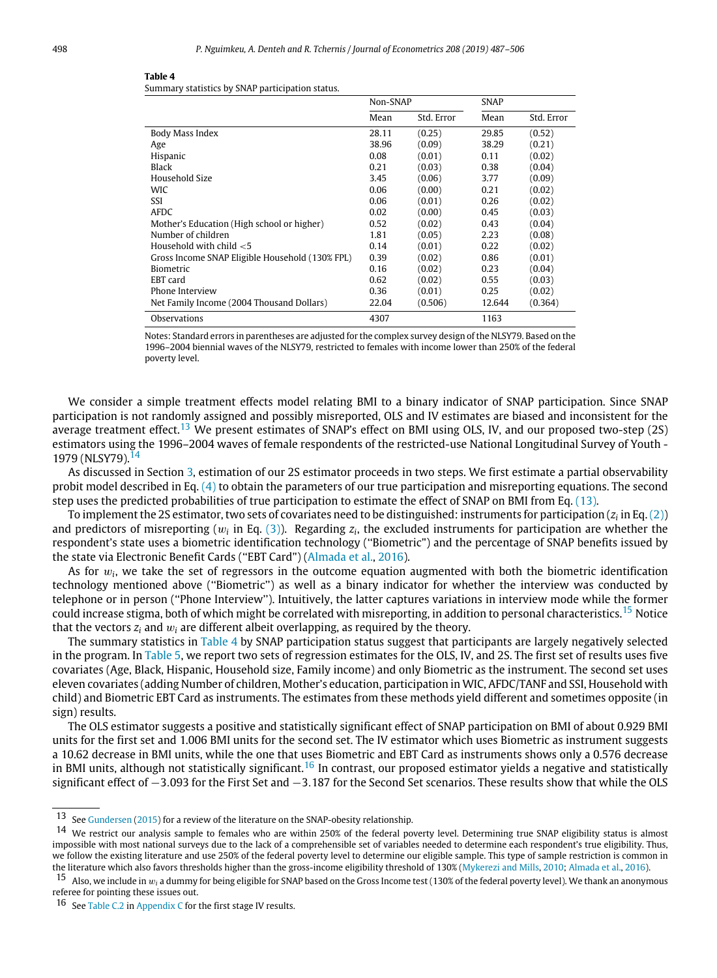#### <span id="page-11-3"></span>**Table 4**

| Summary statistics by SNAP participation status. |  |  |  |
|--------------------------------------------------|--|--|--|
|                                                  |  |  |  |

|                                                 | Non-SNAP |            | SNAP   |            |
|-------------------------------------------------|----------|------------|--------|------------|
|                                                 | Mean     | Std. Error | Mean   | Std. Error |
| Body Mass Index                                 | 28.11    | (0.25)     | 29.85  | (0.52)     |
| Age                                             | 38.96    | (0.09)     | 38.29  | (0.21)     |
| Hispanic                                        | 0.08     | (0.01)     | 0.11   | (0.02)     |
| Black                                           | 0.21     | (0.03)     | 0.38   | (0.04)     |
| Household Size                                  | 3.45     | (0.06)     | 3.77   | (0.09)     |
| WIC                                             | 0.06     | (0.00)     | 0.21   | (0.02)     |
| SSI                                             | 0.06     | (0.01)     | 0.26   | (0.02)     |
| AFDC                                            | 0.02     | (0.00)     | 0.45   | (0.03)     |
| Mother's Education (High school or higher)      | 0.52     | (0.02)     | 0.43   | (0.04)     |
| Number of children                              | 1.81     | (0.05)     | 2.23   | (0.08)     |
| Household with child $<$ 5                      | 0.14     | (0.01)     | 0.22   | (0.02)     |
| Gross Income SNAP Eligible Household (130% FPL) | 0.39     | (0.02)     | 0.86   | (0.01)     |
| <b>Biometric</b>                                | 0.16     | (0.02)     | 0.23   | (0.04)     |
| EBT card                                        | 0.62     | (0.02)     | 0.55   | (0.03)     |
| Phone Interview                                 | 0.36     | (0.01)     | 0.25   | (0.02)     |
| Net Family Income (2004 Thousand Dollars)       | 22.04    | (0.506)    | 12.644 | (0.364)    |
| Observations                                    | 4307     |            | 1163   |            |

Notes: Standard errors in parentheses are adjusted for the complex survey design of the NLSY79. Based on the 1996–2004 biennial waves of the NLSY79, restricted to females with income lower than 250% of the federal poverty level.

We consider a simple treatment effects model relating BMI to a binary indicator of SNAP participation. Since SNAP participation is not randomly assigned and possibly misreported, OLS and IV estimates are biased and inconsistent for the average treatment effect.<sup>[13](#page-11-0)</sup> We present estimates of SNAP's effect on BMI using OLS, IV, and our proposed two-step (2S) estimators using the 1996–2004 waves of female respondents of the restricted-use National Longitudinal Survey of Youth - 1979 (NLSY79).<sup>[14](#page-11-1)</sup>

As discussed in Section [3,](#page-5-0) estimation of our 2S estimator proceeds in two steps. We first estimate a partial observability probit model described in Eq.  $(4)$  to obtain the parameters of our true participation and misreporting equations. The second step uses the predicted probabilities of true participation to estimate the effect of SNAP on BMI from Eq. [\(13\)](#page-6-0).

To implement the 2S estimator, two sets of covariates need to be distinguished: instruments for participation ( $z_i$  in Eq. [\(2](#page-2-2))) and predictors of misreporting ( $w_i$  in Eq. [\(3\)](#page-2-3)). Regarding  $z_i$ , the excluded instruments for participation are whether the respondent's state uses a biometric identification technology (''Biometric") and the percentage of SNAP benefits issued by the state via Electronic Benefit Cards (''EBT Card")([Almada et al.](#page-18-30), [2016](#page-18-30)).

As for w*<sup>i</sup>* , we take the set of regressors in the outcome equation augmented with both the biometric identification technology mentioned above (''Biometric'') as well as a binary indicator for whether the interview was conducted by telephone or in person (''Phone Interview''). Intuitively, the latter captures variations in interview mode while the former could increase stigma, both of which might be correlated with misreporting, in addition to personal characteristics.<sup>[15](#page-11-2)</sup> Notice that the vectors  $z_i$  and  $w_i$  are different albeit overlapping, as required by the theory.

The summary statistics in [Table 4](#page-11-3) by SNAP participation status suggest that participants are largely negatively selected in the program. In [Table 5](#page-12-2), we report two sets of regression estimates for the OLS, IV, and 2S. The first set of results uses five covariates (Age, Black, Hispanic, Household size, Family income) and only Biometric as the instrument. The second set uses eleven covariates (adding Number of children, Mother's education, participation in WIC, AFDC/TANF and SSI, Household with child) and Biometric EBT Card as instruments. The estimates from these methods yield different and sometimes opposite (in sign) results.

The OLS estimator suggests a positive and statistically significant effect of SNAP participation on BMI of about 0.929 BMI units for the first set and 1.006 BMI units for the second set. The IV estimator which uses Biometric as instrument suggests a 10.62 decrease in BMI units, while the one that uses Biometric and EBT Card as instruments shows only a 0.576 decrease in BMI units, although not statistically significant.<sup>[16](#page-11-4)</sup> In contrast, our proposed estimator yields a negative and statistically significant effect of −3.093 for the First Set and −3.187 for the Second Set scenarios. These results show that while the OLS

<span id="page-11-0"></span><sup>13</sup> See [Gundersen](#page-18-31) [\(2015\)](#page-18-31) for a review of the literature on the SNAP-obesity relationship.

<span id="page-11-1"></span><sup>14</sup> We restrict our analysis sample to females who are within 250% of the federal poverty level. Determining true SNAP eligibility status is almost impossible with most national surveys due to the lack of a comprehensible set of variables needed to determine each respondent's true eligibility. Thus, we follow the existing literature and use 250% of the federal poverty level to determine our eligible sample. This type of sample restriction is common in the literature which also favors thresholds higher than the gross-income eligibility threshold of 130% [\(Mykerezi and Mills,](#page-19-7) [2010](#page-19-7); [Almada et al.,](#page-18-30) [2016](#page-18-30)).

<span id="page-11-2"></span><sup>&</sup>lt;sup>15</sup> Also, we include in  $w_i$  a dummy for being eligible for SNAP based on the Gross Income test (130% of the federal poverty level). We thank an anonymous referee for pointing these issues out.

<span id="page-11-4"></span><sup>16</sup> See [Table C.2](#page-18-32) in [Appendix C](#page-17-0) for the first stage IV results.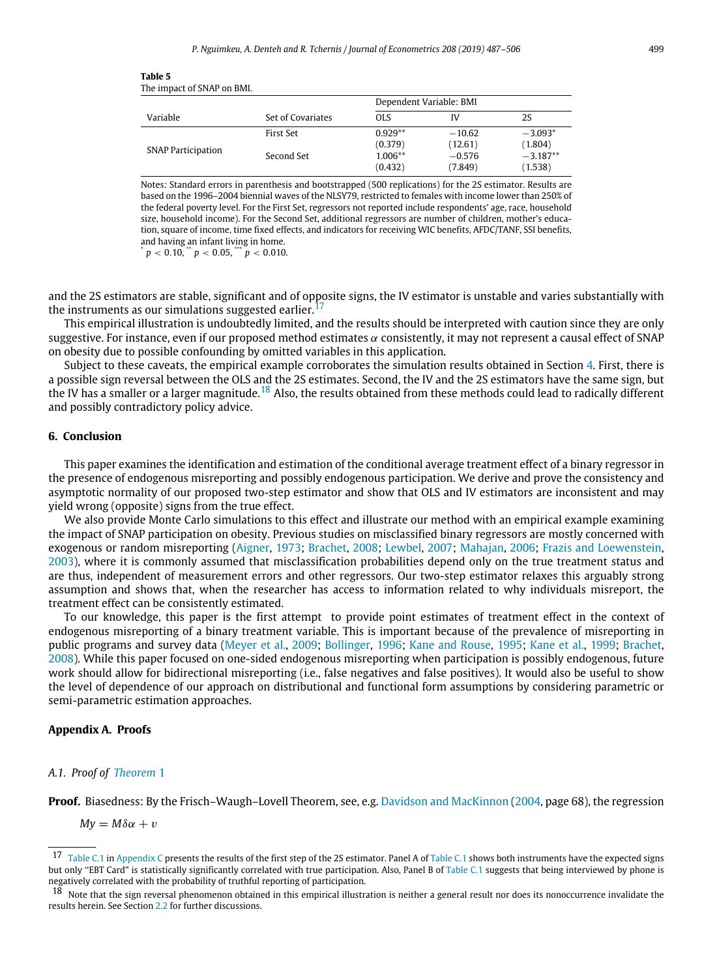<span id="page-12-2"></span>Notes: Standard errors in parenthesis and bootstrapped (500 replications) for the 2S estimator. Results are based on the 1996–2004 biennial waves of the NLSY79, restricted to females with income lower than 250% of the federal poverty level. For the First Set, regressors not reported include respondents' age, race, household size, household income). For the Second Set, additional regressors are number of children, mother's education, square of income, time fixed effects, and indicators for receiving WIC benefits, AFDC/TANF, SSI benefits, and having an infant living in home.

 $p < 0.10$ , \*\*  $p < 0.05$ , \*\*\*  $p < 0.010$ .

and the 2S estimators are stable, significant and of opposite signs, the IV estimator is unstable and varies substantially with the instruments as our simulations suggested earlier.<sup>[17](#page-12-3)</sup>

This empirical illustration is undoubtedly limited, and the results should be interpreted with caution since they are only suggestive. For instance, even if our proposed method estimates  $\alpha$  consistently, it may not represent a causal effect of SNAP on obesity due to possible confounding by omitted variables in this application.

Subject to these caveats, the empirical example corroborates the simulation results obtained in Section [4](#page-7-0). First, there is a possible sign reversal between the OLS and the 2S estimates. Second, the IV and the 2S estimators have the same sign, but the IV has a smaller or a larger magnitude.<sup>[18](#page-12-4)</sup> Also, the results obtained from these methods could lead to radically different and possibly contradictory policy advice.

# **6. Conclusion**

<span id="page-12-0"></span>This paper examines the identification and estimation of the conditional average treatment effect of a binary regressor in the presence of endogenous misreporting and possibly endogenous participation. We derive and prove the consistency and asymptotic normality of our proposed two-step estimator and show that OLS and IV estimators are inconsistent and may yield wrong (opposite) signs from the true effect.

We also provide Monte Carlo simulations to this effect and illustrate our method with an empirical example examining the impact of SNAP participation on obesity. Previous studies on misclassified binary regressors are mostly concerned with exogenous or random misreporting([Aigner,](#page-18-0) [1973;](#page-18-0) [Brachet](#page-18-6), [2008](#page-18-6); [Lewbel](#page-18-1), [2007;](#page-18-1) [Mahajan,](#page-18-18) [2006;](#page-18-18) [Frazis and Loewenstein](#page-18-17), [2003](#page-18-17)), where it is commonly assumed that misclassification probabilities depend only on the true treatment status and are thus, independent of measurement errors and other regressors. Our two-step estimator relaxes this arguably strong assumption and shows that, when the researcher has access to information related to why individuals misreport, the treatment effect can be consistently estimated.

To our knowledge, this paper is the first attempt to provide point estimates of treatment effect in the context of endogenous misreporting of a binary treatment variable. This is important because of the prevalence of misreporting in public programs and survey data([Meyer et al.](#page-19-0), [2009](#page-19-0); [Bollinger](#page-18-10), [1996](#page-18-10); [Kane and Rouse,](#page-18-33) [1995;](#page-18-33) [Kane et al.,](#page-18-15) [1999;](#page-18-15) [Brachet](#page-18-6), [2008](#page-18-6)). While this paper focused on one-sided endogenous misreporting when participation is possibly endogenous, future work should allow for bidirectional misreporting (i.e., false negatives and false positives). It would also be useful to show the level of dependence of our approach on distributional and functional form assumptions by considering parametric or semi-parametric estimation approaches.

# **Appendix A. Proofs**

# <span id="page-12-1"></span>*A.1. Proof of [Theorem](#page-3-5)* [1](#page-3-5)

**Proof.** Biasedness: By the Frisch–Waugh–Lovell Theorem, see, e.g. [Davidson and MacKinnon](#page-18-34) [\(2004](#page-18-34), page 68), the regression

*My* =  $M\delta\alpha + v$ 

<span id="page-12-3"></span><sup>&</sup>lt;sup>17</sup> [Table C.1](#page-17-1) in [Appendix C](#page-17-0) presents the results of the first step of the 2S estimator. Panel A of Table C.1 shows both instruments have the expected signs but only "EBT Card" is statistically significantly correlated with true participation. Also, Panel B of [Table C.1](#page-17-1) suggests that being interviewed by phone is negatively correlated with the probability of truthful reporting of participation.

<span id="page-12-4"></span><sup>&</sup>lt;sup>18</sup> Note that the sign reversal phenomenon obtained in this empirical illustration is neither a general result nor does its nonoccurrence invalidate the results herein. See Section [2.2](#page-3-0) for further discussions.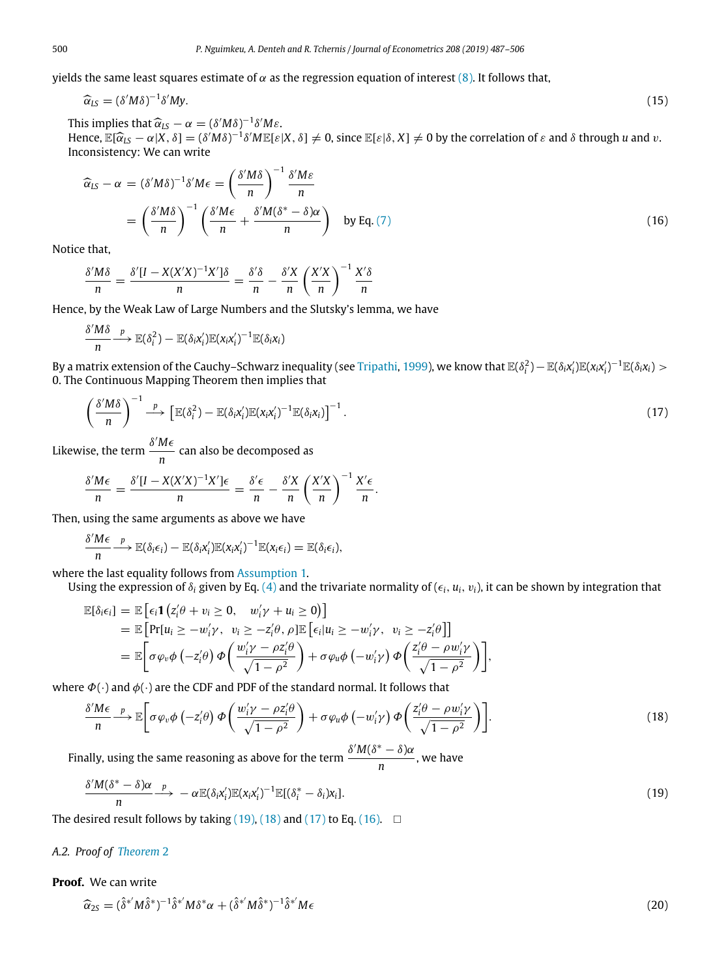yields the same least squares estimate of  $\alpha$  as the regression equation of interest [\(8](#page-3-6)). It follows that,

$$
\widehat{\alpha}_{LS} = (\delta' M \delta)^{-1} \delta' M y. \tag{15}
$$

This implies that  $\widehat{\alpha}_{LS} - \alpha = (\delta' M \delta)^{-1} \delta' M \epsilon$ .

Hence,  $\mathbb{E}[\widehat{\alpha}_{LS} - \alpha | X, \delta] = (\delta' M \delta)^{-1} \delta' M \mathbb{E}[\varepsilon | X, \delta] \neq 0$ , since  $\mathbb{E}[\varepsilon | \delta, X] \neq 0$  by the correlation of  $\varepsilon$  and  $\delta$  through *u* and *v*. Inconsistency: We can write

$$
\widehat{\alpha}_{LS} - \alpha = (\delta' M \delta)^{-1} \delta' M \epsilon = \left(\frac{\delta' M \delta}{n}\right)^{-1} \frac{\delta' M \epsilon}{n}
$$

$$
= \left(\frac{\delta' M \delta}{n}\right)^{-1} \left(\frac{\delta' M \epsilon}{n} + \frac{\delta' M (\delta^* - \delta) \alpha}{n}\right) \quad \text{by Eq. (7)}
$$
(16)

Notice that,

$$
\frac{\delta' M \delta}{n} = \frac{\delta' [I - X(X'X)^{-1}X'] \delta}{n} = \frac{\delta' \delta}{n} - \frac{\delta' X}{n} \left(\frac{X'X}{n}\right)^{-1} \frac{X' \delta}{n}
$$

Hence, by the Weak Law of Large Numbers and the Slutsky's lemma, we have

$$
\frac{\delta' M \delta}{n} \xrightarrow{p} \mathbb{E}(\delta_i^2) - \mathbb{E}(\delta_i x_i') \mathbb{E}(x_i x_i')^{-1} \mathbb{E}(\delta_i x_i)
$$

By a matrix extension of the Cauchy–Schwarz inequality (see [Tripathi,](#page-19-5) [1999\)](#page-19-5), we know that  $\mathbb{E}(\delta_i^2) - \mathbb{E}(\delta_i x_i') \mathbb{E}(x_i x_i')^{-1} \mathbb{E}(\delta_i x_i) >$ 0. The Continuous Mapping Theorem then implies that

<span id="page-13-2"></span>
$$
\left(\frac{\delta' M \delta}{n}\right)^{-1} \stackrel{p}{\longrightarrow} \left[\mathbb{E}(\delta_i^2) - \mathbb{E}(\delta_i x_i') \mathbb{E}(x_i x_i')^{-1} \mathbb{E}(\delta_i x_i)\right]^{-1}.
$$
\n(17)

Likewise, the term δ ′*M*ϵ *n* can also be decomposed as

$$
\frac{\delta' M \epsilon}{n} = \frac{\delta' [I - X(X'X)^{-1}X'] \epsilon}{n} = \frac{\delta' \epsilon}{n} - \frac{\delta' X}{n} \left(\frac{X'X}{n}\right)^{-1} \frac{X' \epsilon}{n}.
$$

Then, using the same arguments as above we have

$$
\frac{\delta' M \epsilon}{n} \xrightarrow{p} \mathbb{E}(\delta_i \epsilon_i) - \mathbb{E}(\delta_i x_i') \mathbb{E}(x_i x_i')^{-1} \mathbb{E}(x_i \epsilon_i) = \mathbb{E}(\delta_i \epsilon_i),
$$

where the last equality follows from [Assumption 1.](#page-2-4)

Using the expression of  $\delta_i$  given by Eq. [\(4\)](#page-2-9) and the trivariate normality of ( $\epsilon_i$ ,  $u_i$ ,  $v_i$ ), it can be shown by integration that

$$
\mathbb{E}[\delta_i \epsilon_i] = \mathbb{E} \left[ \epsilon_i \mathbf{1} \left( z_i' \theta + v_i \ge 0, \quad w_i' \gamma + u_i \ge 0 \right) \right] \n= \mathbb{E} \left[ \Pr[u_i \ge -w_i' \gamma, \quad v_i \ge -z_i' \theta, \rho] \mathbb{E} \left[ \epsilon_i | u_i \ge -w_i' \gamma, \quad v_i \ge -z_i' \theta \right] \right] \n= \mathbb{E} \left[ \sigma \varphi_v \phi \left( -z_i' \theta \right) \phi \left( \frac{w_i' \gamma - \rho z_i' \theta}{\sqrt{1 - \rho^2}} \right) + \sigma \varphi_u \phi \left( -w_i' \gamma \right) \phi \left( \frac{z_i' \theta - \rho w_i' \gamma}{\sqrt{1 - \rho^2}} \right) \right],
$$

where  $\Phi(\cdot)$  and  $\phi(\cdot)$  are the CDF and PDF of the standard normal. It follows that

<span id="page-13-1"></span>
$$
\frac{\delta' M \epsilon}{n} \xrightarrow{p} \mathbb{E} \left[ \sigma \varphi_v \phi \left( -z_i' \theta \right) \Phi \left( \frac{w_i' \gamma - \rho z_i' \theta}{\sqrt{1 - \rho^2}} \right) + \sigma \varphi_u \phi \left( -w_i' \gamma \right) \Phi \left( \frac{z_i' \theta - \rho w_i' \gamma}{\sqrt{1 - \rho^2}} \right) \right].
$$
\n(18)

Finally, using the same reasoning as above for the term  $\frac{\delta' M (\delta^* - \delta) \alpha}{\delta}$  $\frac{1}{n}$ , we have

<span id="page-13-0"></span>
$$
\frac{\delta' M(\delta^* - \delta) \alpha}{n} \longrightarrow -\alpha \mathbb{E}(\delta_i x_i') \mathbb{E}(x_i x_i')^{-1} \mathbb{E}[(\delta_i^* - \delta_i) x_i].
$$
\n(19)

The desired result follows by taking  $(19)$  $(19)$  $(19)$ ,  $(18)$  $(18)$  $(18)$  and  $(17)$  $(17)$  $(17)$  to Eq.  $(16)$  $(16)$  $(16)$ .  $\Box$ 

# *A.2. Proof of [Theorem](#page-6-1)* [2](#page-6-1)

## **Proof.** We can write

<span id="page-13-3"></span>
$$
\widehat{\alpha}_{2S} = (\widehat{\delta}^{*'} M \widehat{\delta}^{*})^{-1} \widehat{\delta}^{*'} M \delta^{*} \alpha + (\widehat{\delta}^{*'} M \widehat{\delta}^{*})^{-1} \widehat{\delta}^{*'} M \epsilon
$$
\n(20)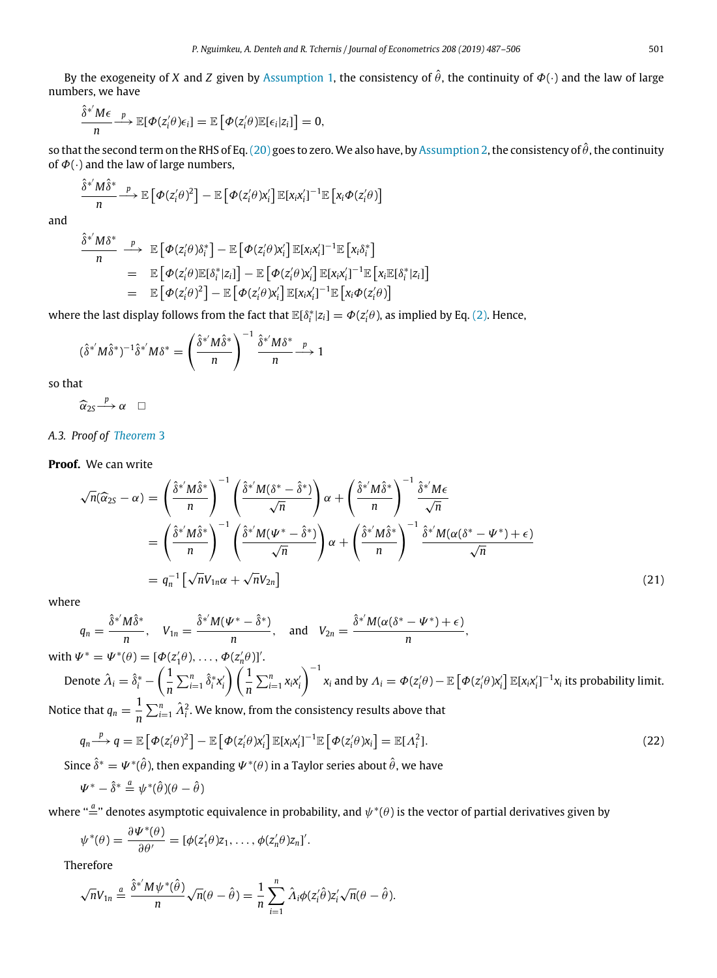By the exogeneity of *X* and *Z* given by [Assumption 1](#page-2-4), the consistency of  $\hat{\theta}$ , the continuity of  $\Phi(\cdot)$  and the law of large numbers, we have

$$
\frac{\hat{\delta}^{*'}M\epsilon}{n} \stackrel{p}{\longrightarrow} \mathbb{E}[\Phi(z'_i\theta)\epsilon_i] = \mathbb{E}\left[\Phi(z'_i\theta)\mathbb{E}[\epsilon_i|z_i]\right] = 0,
$$

so that the second term on the RHS of Eq. ([20](#page-13-3)) goes to zero. We also have, by [Assumption 2](#page-2-5), the consistency of  $\hat{\theta}$ , the continuity of  $\Phi(\cdot)$  and the law of large numbers,

$$
\frac{\hat{\delta}^* M \hat{\delta}^*}{n} \stackrel{p}{\longrightarrow} \mathbb{E}\left[\Phi(z_i'\theta)^2\right] - \mathbb{E}\left[\Phi(z_i'\theta)x_i'\right] \mathbb{E}[x_i x_i']^{-1} \mathbb{E}\left[x_i \Phi(z_i'\theta)\right]
$$

and

$$
\frac{\hat{\delta}^* M \delta^*}{n} \xrightarrow{p} \mathbb{E}\left[\Phi(z_i^j \theta) \delta_i^*\right] - \mathbb{E}\left[\Phi(z_i^j \theta) x_i^j\right] \mathbb{E}[x_i x_i^j]^{-1} \mathbb{E}\left[x_i \delta_i^*\right] \n= \mathbb{E}\left[\Phi(z_i^j \theta) \mathbb{E}[\delta_i^* | z_i]\right] - \mathbb{E}\left[\Phi(z_i^j \theta) x_i^j\right] \mathbb{E}[x_i x_i^j]^{-1} \mathbb{E}\left[x_i \mathbb{E}[\delta_i^* | z_i]\right] \n= \mathbb{E}\left[\Phi(z_i^j \theta)^2\right] - \mathbb{E}\left[\Phi(z_i^j \theta) x_i^j\right] \mathbb{E}[x_i x_i^j]^{-1} \mathbb{E}\left[x_i \Phi(z_i^j \theta)\right]
$$

where the last display follows from the fact that  $\mathbb{E}[\delta_i^*|z_i] = \Phi(z'_i\theta)$ , as implied by Eq. [\(2\)](#page-2-2). Hence,

$$
(\hat{\delta}^{*'}M\hat{\delta}^{*})^{-1}\hat{\delta}^{*'}M\delta^{*} = \left(\frac{\hat{\delta}^{*'}M\hat{\delta}^{*}}{n}\right)^{-1}\frac{\hat{\delta}^{*'}M\delta^{*}}{n} \xrightarrow{p} 1
$$

so that

$$
\widehat{\alpha}_{2S} \stackrel{p}{\longrightarrow} \alpha \quad \Box
$$

*A.3. Proof of [Theorem](#page-6-2)* [3](#page-6-2)

# **Proof.** We can write

$$
\sqrt{n}(\widehat{\alpha}_{2S} - \alpha) = \left(\frac{\widehat{\delta}^{*'} M \widehat{\delta}^{*}}{n}\right)^{-1} \left(\frac{\widehat{\delta}^{*'} M (\delta^{*} - \widehat{\delta}^{*})}{\sqrt{n}}\right) \alpha + \left(\frac{\widehat{\delta}^{*'} M \widehat{\delta}^{*}}{n}\right)^{-1} \frac{\widehat{\delta}^{*'} M \epsilon}{\sqrt{n}}
$$

$$
= \left(\frac{\widehat{\delta}^{*'} M \widehat{\delta}^{*}}{n}\right)^{-1} \left(\frac{\widehat{\delta}^{*'} M (\Psi^{*} - \widehat{\delta}^{*})}{\sqrt{n}}\right) \alpha + \left(\frac{\widehat{\delta}^{*'} M \widehat{\delta}^{*}}{n}\right)^{-1} \frac{\widehat{\delta}^{*'} M (\alpha (\delta^{*} - \Psi^{*}) + \epsilon)}{\sqrt{n}}
$$

$$
= q_{n}^{-1} \left[\sqrt{n} V_{1n} \alpha + \sqrt{n} V_{2n}\right]
$$
(21)

where

$$
q_n=\frac{\hat{\delta}^{*'}M\hat{\delta}^{*}}{n},\quad V_{1n}=\frac{\hat{\delta}^{*'}M(\Psi^{*}-\hat{\delta}^{*})}{n},\quad\text{and}\quad V_{2n}=\frac{\hat{\delta}^{*'}M(\alpha(\delta^{*}-\Psi^{*})+\epsilon)}{n},
$$

with  $\Psi^* = \Psi^*(\theta) = [\Phi(z'_1\theta), \dots, \Phi(z'_n\theta)]'.$ 

Denote 
$$
\hat{\Lambda}_i = \hat{\delta}_i^* - \left(\frac{1}{n} \sum_{i=1}^n \hat{\delta}_i^* x_i'\right) \left(\frac{1}{n} \sum_{i=1}^n x_i x_i'\right)^{-1} x_i
$$
 and by  $\Lambda_i = \Phi(z_i'\theta) - \mathbb{E}\left[\Phi(z_i'\theta)x_i'\right] \mathbb{E}[x_i x_i']^{-1} x_i$  its probability limit.  
Notice that  $q_n = \frac{1}{n} \sum_{i=1}^n \hat{\Lambda}_i^2$ . We know, from the consistency results above that

$$
q_n \xrightarrow{p} q = \mathbb{E}\left[\Phi(z_i'\theta)^2\right] - \mathbb{E}\left[\Phi(z_i'\theta)x_i'\right] \mathbb{E}[x_i x_i']^{-1} \mathbb{E}\left[\Phi(z_i'\theta)x_i\right] = \mathbb{E}[A_i^2].
$$
\n(22)

Since  $\delta^* = \Psi^*(\hat{\theta})$ , then expanding  $\Psi^*(\theta)$  in a Taylor series about  $\hat{\theta}$ , we have

<span id="page-14-0"></span>
$$
\Psi^* - \hat{\delta}^* \stackrel{a}{=} \psi^*(\hat{\theta})(\theta - \hat{\theta})
$$

where " $\stackrel{a}{=}$ " denotes asymptotic equivalence in probability, and  $\psi^*(\theta)$  is the vector of partial derivatives given by

$$
\psi^*(\theta) = \frac{\partial \Psi^*(\theta)}{\partial \theta'} = [\phi(z'_1\theta)z_1, \ldots, \phi(z'_n\theta)z_n]'.
$$

Therefore

$$
\sqrt{n}V_{1n} \stackrel{a}{=} \frac{\hat{\delta}^{*'}M\psi^{*}(\hat{\theta})}{n}\sqrt{n}(\theta - \hat{\theta}) = \frac{1}{n}\sum_{i=1}^{n}\hat{\Lambda}_{i}\phi(z_{i}'\hat{\theta})z_{i}'\sqrt{n}(\theta - \hat{\theta}).
$$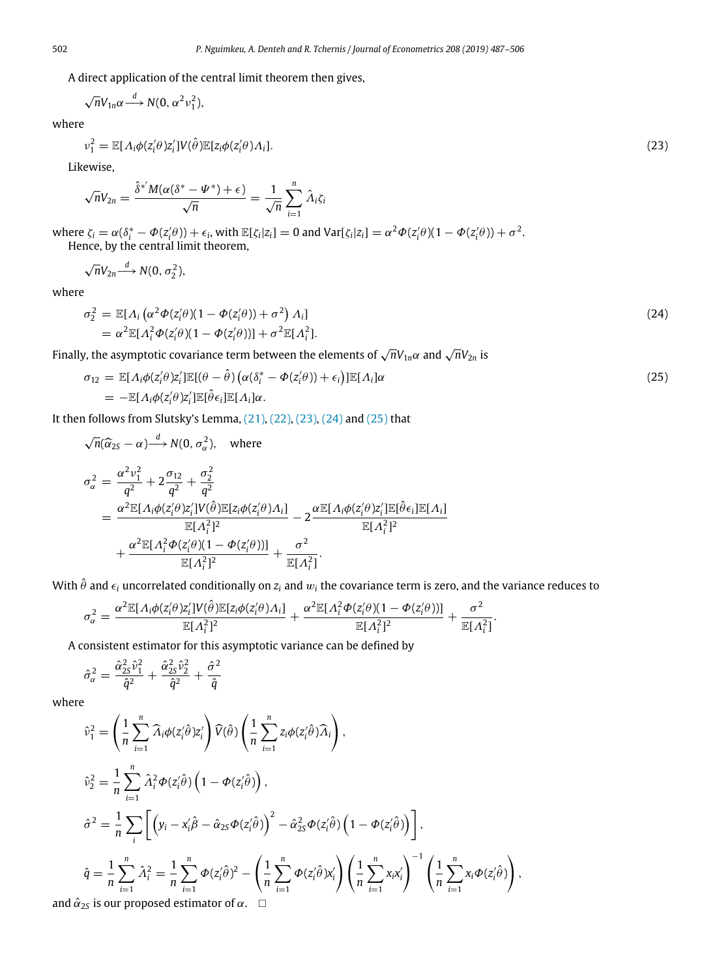A direct application of the central limit theorem then gives,

<span id="page-15-0"></span>
$$
\sqrt{n}V_{1n}\alpha \xrightarrow{d} N(0, \alpha^2 v_1^2),
$$

where

$$
v_1^2 = \mathbb{E}[A_i \phi(z_i' \theta) z_i'] V(\hat{\theta}) \mathbb{E}[z_i \phi(z_i' \theta) A_i].
$$
\n(23)

Likewise,

$$
\sqrt{n}V_{2n}=\frac{\hat{\delta}^{*'}M(\alpha(\delta^{*}-\Psi^{*})+\epsilon)}{\sqrt{n}}=\frac{1}{\sqrt{n}}\sum_{i=1}^{n}\hat{\Lambda}_{i}\zeta_{i}
$$

where  $\zeta_i = \alpha(\delta_i^* - \Phi(z_i^{\prime}\theta)) + \epsilon_i$ , with  $\mathbb{E}[\zeta_i|z_i] = 0$  and  $\text{Var}[\zeta_i|z_i] = \alpha^2 \Phi(z_i^{\prime}\theta)(1 - \Phi(z_i^{\prime}\theta)) + \sigma^2$ . Hence, by the central limit theorem,

$$
\sqrt{n}V_{2n} \xrightarrow{d} N(0, \sigma_2^2),
$$

where

<span id="page-15-1"></span>
$$
\sigma_2^2 = \mathbb{E}[A_i (\alpha^2 \Phi(z_i^2 \theta)(1 - \Phi(z_i^2 \theta)) + \sigma^2) A_i]
$$
  
=  $\alpha^2 \mathbb{E}[A_i^2 \Phi(z_i^2 \theta)(1 - \Phi(z_i^2 \theta))] + \sigma^2 \mathbb{E}[A_i^2].$  (24)

Finally, the asymptotic covariance term between the elements of  $\sqrt{n}V_{1n}\alpha$  and  $\sqrt{n}V_{2n}$  is

<span id="page-15-2"></span>
$$
\sigma_{12} = \mathbb{E}[A_i \phi(z_i' \theta) z_i'] \mathbb{E}[(\theta - \hat{\theta}) (\alpha(\delta_i^* - \Phi(z_i' \theta)) + \epsilon_i)] \mathbb{E}[A_i] \alpha \n= -\mathbb{E}[A_i \phi(z_i' \theta) z_i'] \mathbb{E}[\hat{\theta} \epsilon_i] \mathbb{E}[A_i] \alpha.
$$
\n(25)

It then follows from Slutsky's Lemma,  $(21)$  $(21)$ ,  $(22)$ ,  $(23)$  $(23)$ ,  $(24)$  $(24)$  $(24)$  and  $(25)$  $(25)$  $(25)$  that

$$
\sqrt{n}(\widehat{\alpha}_{2S} - \alpha) \stackrel{d}{\longrightarrow} N(0, \sigma_{\alpha}^2), \text{ where}
$$
\n
$$
\sigma_{\alpha}^2 = \frac{\alpha^2 v_1^2}{q^2} + 2 \frac{\sigma_{12}}{q^2} + \frac{\sigma_2^2}{q^2}
$$
\n
$$
= \frac{\alpha^2 \mathbb{E}[\Lambda_i \phi(z_i' \theta) z_i' ] V(\widehat{\theta}) \mathbb{E}[z_i \phi(z_i' \theta) \Lambda_i]}{\mathbb{E}[\Lambda_i^2]^2} - 2 \frac{\alpha \mathbb{E}[\Lambda_i \phi(z_i' \theta) z_i' ] \mathbb{E}[\widehat{\theta} \epsilon_i] \mathbb{E}[\Lambda_i]}{\mathbb{E}[\Lambda_i^2]^2}
$$
\n
$$
+ \frac{\alpha^2 \mathbb{E}[\Lambda_i^2 \phi(z_i' \theta) (1 - \phi(z_i' \theta))]}{\mathbb{E}[\Lambda_i^2]^2} + \frac{\sigma^2}{\mathbb{E}[\Lambda_i^2]}.
$$

With  $\hat{\theta}$  and  $\epsilon_i$  uncorrelated conditionally on  $z_i$  and  $w_i$  the covariance term is zero, and the variance reduces to

$$
\sigma_{\alpha}^2 = \frac{\alpha^2 \mathbb{E}[A_i \phi(z_i^{\prime} \theta) z_i^{\prime}] V(\hat{\theta}) \mathbb{E}[z_i \phi(z_i^{\prime} \theta) A_i]}{\mathbb{E}[A_i^2]^2} + \frac{\alpha^2 \mathbb{E}[A_i^2 \phi(z_i^{\prime} \theta)(1 - \phi(z_i^{\prime} \theta))] }{\mathbb{E}[A_i^2]^2} + \frac{\sigma^2}{\mathbb{E}[A_i^2]}.
$$

A consistent estimator for this asymptotic variance can be defined by

$$
\hat{\sigma}_{\alpha}^2 = \frac{\hat{\alpha}_{2S}^2 \hat{\nu}_1^2}{\hat{q}^2} + \frac{\hat{\alpha}_{2S}^2 \hat{\nu}_2^2}{\hat{q}^2} + \frac{\hat{\sigma}^2}{\hat{q}}
$$

where

$$
\hat{v}_1^2 = \left(\frac{1}{n}\sum_{i=1}^n \hat{\lambda}_i \phi(z_i'\hat{\theta})z_i'\right)\hat{V}(\hat{\theta})\left(\frac{1}{n}\sum_{i=1}^n z_i\phi(z_i'\hat{\theta})\hat{\lambda}_i\right),
$$
\n
$$
\hat{v}_2^2 = \frac{1}{n}\sum_{i=1}^n \hat{\lambda}_i^2 \Phi(z_i'\hat{\theta})\left(1 - \Phi(z_i'\hat{\theta})\right),
$$
\n
$$
\hat{\sigma}^2 = \frac{1}{n}\sum_i \left[\left(y_i - x_i'\hat{\beta} - \hat{\alpha}_{2S}\Phi(z_i'\hat{\theta})\right)^2 - \hat{\alpha}_{2S}^2 \Phi(z_i'\hat{\theta})\left(1 - \Phi(z_i'\hat{\theta})\right)\right],
$$
\n
$$
\hat{q} = \frac{1}{n}\sum_{i=1}^n \hat{\lambda}_i^2 = \frac{1}{n}\sum_{i=1}^n \Phi(z_i'\hat{\theta})^2 - \left(\frac{1}{n}\sum_{i=1}^n \Phi(z_i'\hat{\theta})x_i'\right)\left(\frac{1}{n}\sum_{i=1}^n x_i x_i'\right)^{-1} \left(\frac{1}{n}\sum_{i=1}^n x_i \Phi(z_i'\hat{\theta})\right),
$$
\nand  $\hat{\alpha}_{2S}$  is our proposed estimator of  $\alpha$ .  $\Box$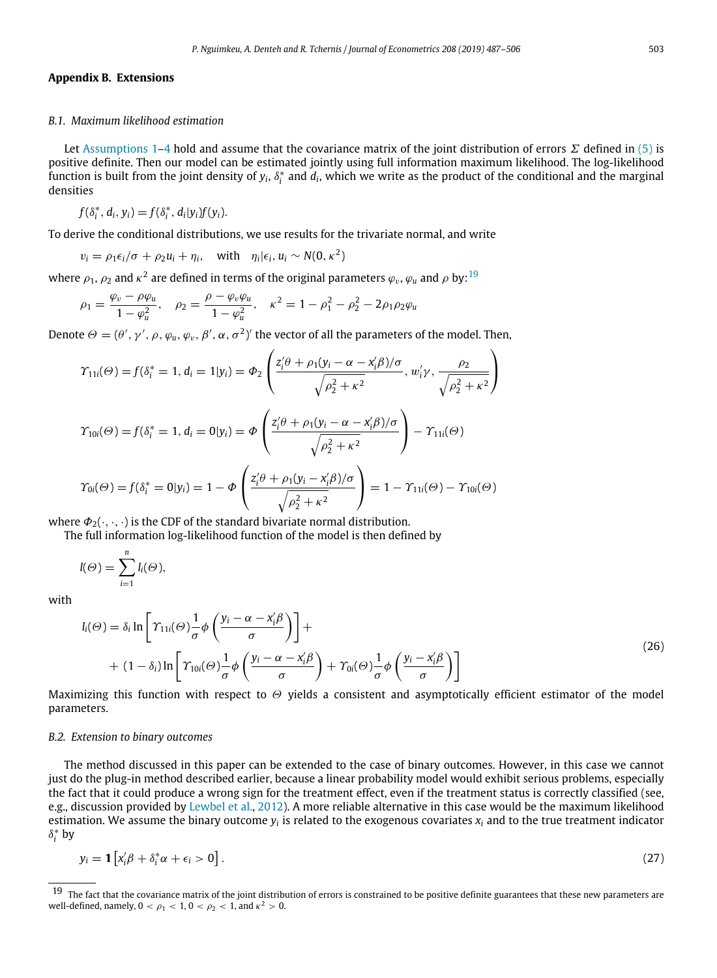# **Appendix B. Extensions**

#### <span id="page-16-0"></span>*B.1. Maximum likelihood estimation*

Let [Assumptions 1–](#page-2-4)[4](#page-2-7) hold and assume that the covariance matrix of the joint distribution of errors  $\Sigma$  defined in ([5\)](#page-3-7) is positive definite. Then our model can be estimated jointly using full information maximum likelihood. The log-likelihood function is built from the joint density of  $y_i$ ,  $\delta^*_i$  and  $d_i$ , which we write as the product of the conditional and the marginal densities

 $f(\delta_i^*, d_i, y_i) = f(\delta_i^*, d_i|y_i)f(y_i).$ 

To derive the conditional distributions, we use results for the trivariate normal, and write

 $v_i = \rho_1 \epsilon_i / \sigma + \rho_2 u_i + \eta_i$ , with  $\eta_i | \epsilon_i, u_i \sim N(0, \kappa^2)$ 

where  $\rho_1$ ,  $\rho_2$  and  $\kappa^2$  are defined in terms of the original parameters  $\varphi_v$ ,  $\varphi_u$  and  $\rho$  by:  $^{19}$  $^{19}$  $^{19}$ 

$$
\rho_1 = \frac{\varphi_v - \rho \varphi_u}{1 - \varphi_u^2}, \quad \rho_2 = \frac{\rho - \varphi_v \varphi_u}{1 - \varphi_u^2}, \quad \kappa^2 = 1 - \rho_1^2 - \rho_2^2 - 2\rho_1 \rho_2 \varphi_u
$$

Denote  $\Theta = (\theta', \gamma', \rho, \varphi_u, \varphi_v, \beta', \alpha, \sigma^2)'$  the vector of all the parameters of the model. Then,

$$
\gamma_{11i}(\Theta) = f(\delta_i^* = 1, d_i = 1 | y_i) = \Phi_2 \left( \frac{z_i' \theta + \rho_1 (y_i - \alpha - x_i' \beta)/\sigma}{\sqrt{\rho_2^2 + \kappa^2}}, w_i' \gamma, \frac{\rho_2}{\sqrt{\rho_2^2 + \kappa^2}} \right)
$$

$$
\gamma_{10i}(\Theta) = f(\delta_i^* = 1, d_i = 0 | y_i) = \Phi \left( \frac{z_i' \theta + \rho_1 (y_i - \alpha - x_i' \beta)/\sigma}{\sqrt{\rho_2^2 + \kappa^2}} \right) - \gamma_{11i}(\Theta)
$$

$$
\gamma_{0i}(\Theta) = f(\delta_i^* = 0 | y_i) = 1 - \Phi \left( \frac{z_i' \theta + \rho_1 (y_i - x_i' \beta)/\sigma}{\sqrt{\rho_2^2 + \kappa^2}} \right) = 1 - \gamma_{11i}(\Theta) - \gamma_{10i}(\Theta)
$$

where  $\Phi_2(\cdot, \cdot, \cdot)$  is the CDF of the standard bivariate normal distribution.

The full information log-likelihood function of the model is then defined by

$$
l(\Theta) = \sum_{i=1}^n l_i(\Theta),
$$

with

$$
l_i(\Theta) = \delta_i \ln \left[ \Upsilon_{11i}(\Theta) \frac{1}{\sigma} \phi \left( \frac{y_i - \alpha - x'_i \beta}{\sigma} \right) \right] +
$$
  
+ 
$$
(1 - \delta_i) \ln \left[ \Upsilon_{10i}(\Theta) \frac{1}{\sigma} \phi \left( \frac{y_i - \alpha - x'_i \beta}{\sigma} \right) + \Upsilon_{0i}(\Theta) \frac{1}{\sigma} \phi \left( \frac{y_i - x'_i \beta}{\sigma} \right) \right]
$$
 (26)

Maximizing this function with respect to  $\Theta$  yields a consistent and asymptotically efficient estimator of the model parameters.

#### *B.2. Extension to binary outcomes*

The method discussed in this paper can be extended to the case of binary outcomes. However, in this case we cannot just do the plug-in method described earlier, because a linear probability model would exhibit serious problems, especially the fact that it could produce a wrong sign for the treatment effect, even if the treatment status is correctly classified (see, e.g., discussion provided by [Lewbel et al.,](#page-18-35) [2012](#page-18-35)). A more reliable alternative in this case would be the maximum likelihood estimation. We assume the binary outcome  $y_i$  is related to the exogenous covariates  $x_i$  and to the true treatment indicator  $\delta_i^*$  by

$$
y_i = \mathbf{1} \left[ x_i' \beta + \delta_i^* \alpha + \epsilon_i > 0 \right]. \tag{27}
$$

<span id="page-16-1"></span>The fact that the covariance matrix of the joint distribution of errors is constrained to be positive definite guarantees that these new parameters are well-defined, namely, 0  $< \rho_1 < 1,$  0  $< \rho_2 < 1$ , and  $\kappa^2 > 0$ .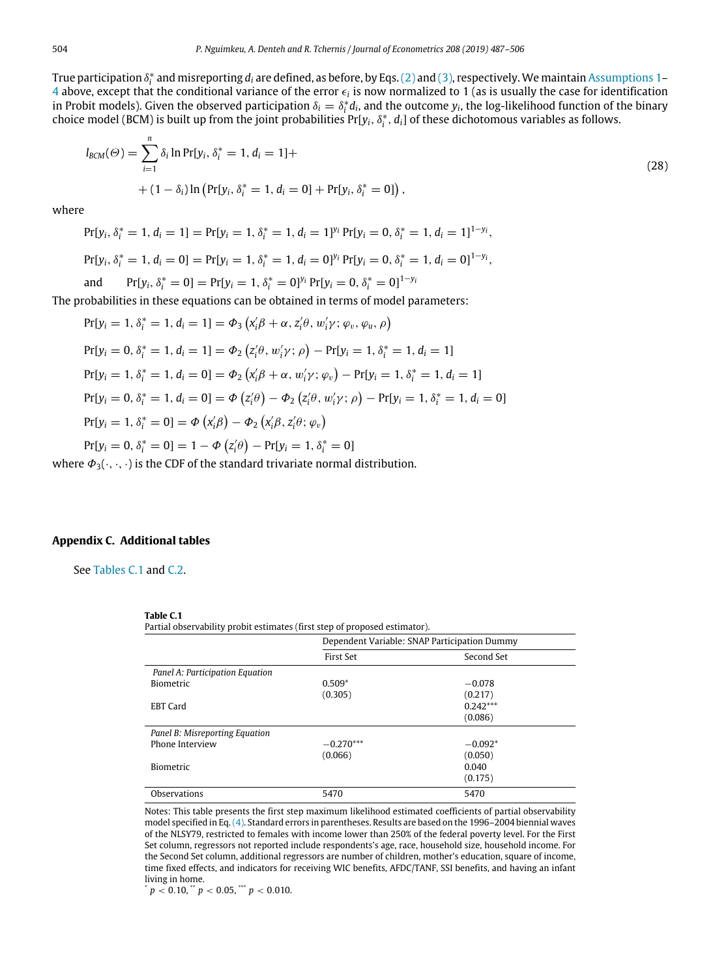True participation  $\delta^*_i$  and misreporting  $d_i$  are defined, as before, by Eqs. ([2](#page-2-2)) and ([3\)](#page-2-3), respectively. We maintain [Assumptions 1–](#page-2-4)  $4$  above, except that the conditional variance of the error  $\epsilon_i$  is now normalized to 1 (as is usually the case for identification in Probit models). Given the observed participation  $\delta_i = \delta_i^* d_i$ , and the outcome  $y_i$ , the log-likelihood function of the binary choice model (BCM) is built up from the joint probabilities Pr[ $y_i, \delta^*_i, d_i$ ] of these dichotomous variables as follows.

$$
l_{BCM}(\Theta) = \sum_{i=1}^{n} \delta_i \ln \Pr[y_i, \delta_i^* = 1, d_i = 1] +
$$
  
+  $(1 - \delta_i) \ln \left( \Pr[y_i, \delta_i^* = 1, d_i = 0] + \Pr[y_i, \delta_i^* = 0] \right),$  (28)

where

$$
\Pr[y_i, \delta_i^* = 1, d_i = 1] = \Pr[y_i = 1, \delta_i^* = 1, d_i = 1]^{y_i} \Pr[y_i = 0, \delta_i^* = 1, d_i = 1]^{1 - y_i},
$$
\n
$$
\Pr[y_i, \delta_i^* = 1, d_i = 0] = \Pr[y_i = 1, \delta_i^* = 1, d_i = 0]^{y_i} \Pr[y_i = 0, \delta_i^* = 1, d_i = 0]^{1 - y_i},
$$
\nand

\n
$$
\Pr[y_i, \delta_i^* = 0] = \Pr[y_i = 1, \delta_i^* = 0]^{y_i} \Pr[y_i = 0, \delta_i^* = 0]^{1 - y_i}
$$

The probabilities in these equations can be obtained in terms of model parameters:

 $Pr[y_i = 1, \delta_i^* = 1, d_i = 1] = \Phi_3(x'_i\beta + \alpha, z'_i\theta, w'_i\gamma; \varphi_v, \varphi_u, \rho)$  $Pr[y_i = 0, \delta_i^* = 1, d_i = 1] = \Phi_2(z_i' \theta, w_i' \gamma; \rho) - Pr[y_i = 1, \delta_i^* = 1, d_i = 1]$  $Pr[y_i = 1, \delta_i^* = 1, d_i = 0] = \Phi_2(x_i' \beta + \alpha, w_i' \gamma; \varphi_v) - Pr[y_i = 1, \delta_i^* = 1, d_i = 1]$  $Pr[y_i = 0, \delta_i^* = 1, d_i = 0] = \Phi(z'_i\theta) - \Phi_2(z'_i\theta, w'_i\gamma; \rho) - Pr[y_i = 1, \delta_i^* = 1, d_i = 0]$  $Pr[y_i = 1, \delta_i^* = 0] = \Phi(x'_i \beta) - \Phi_2(x'_i \beta, z'_i \theta; \varphi_v)$  $Pr[y_i = 0, \delta_i^* = 0] = 1 - \Phi(z_i/\theta) - Pr[y_i = 1, \delta_i^* = 0]$ 

where  $\Phi_3(\cdot,\cdot,\cdot)$  is the CDF of the standard trivariate normal distribution.

#### **Appendix C. Additional tables**

<span id="page-17-1"></span><span id="page-17-0"></span>See [Tables C.1](#page-17-1) and [C.2](#page-18-32).

#### **Table C.1**

Partial observability probit estimates (first step of proposed estimator).

|                                 | Dependent Variable: SNAP Participation Dummy |            |  |
|---------------------------------|----------------------------------------------|------------|--|
|                                 | First Set                                    | Second Set |  |
| Panel A: Participation Equation |                                              |            |  |
| <b>Biometric</b>                | $0.509*$                                     | $-0.078$   |  |
|                                 | (0.305)                                      | (0.217)    |  |
| <b>EBT</b> Card                 |                                              | $0.242***$ |  |
|                                 |                                              | (0.086)    |  |
| Panel B: Misreporting Equation  |                                              |            |  |
| Phone Interview                 | $-0.270***$                                  | $-0.092*$  |  |
|                                 | (0.066)                                      | (0.050)    |  |
| <b>Biometric</b>                |                                              | 0.040      |  |
|                                 |                                              | (0.175)    |  |
| Observations                    | 5470                                         | 5470       |  |

Notes: This table presents the first step maximum likelihood estimated coefficients of partial observability model specified in Eq.([4\)](#page-2-9). Standard errors in parentheses. Results are based on the 1996–2004 biennial waves of the NLSY79, restricted to females with income lower than 250% of the federal poverty level. For the First Set column, regressors not reported include respondents's age, race, household size, household income. For the Second Set column, additional regressors are number of children, mother's education, square of income, time fixed effects, and indicators for receiving WIC benefits, AFDC/TANF, SSI benefits, and having an infant living in home.

 $p < 0.10$ ,  $p < 0.05$ ,  $p < 0.010$ .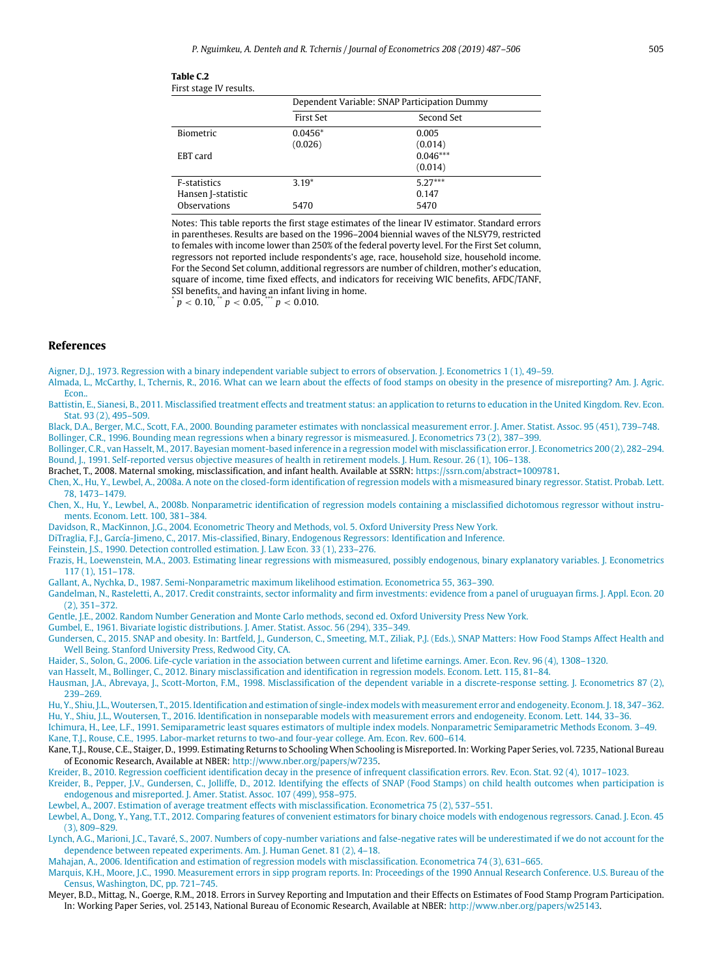| First stage IV results. |                                              |            |  |  |
|-------------------------|----------------------------------------------|------------|--|--|
|                         | Dependent Variable: SNAP Participation Dummy |            |  |  |
|                         | <b>First Set</b>                             | Second Set |  |  |
| Biometric               | $0.0456*$                                    | 0.005      |  |  |
|                         | (0.026)                                      | (0.014)    |  |  |
| EBT card                |                                              | $0.046***$ |  |  |
|                         |                                              | (0.014)    |  |  |
| <b>F-statistics</b>     | $3.19*$                                      | $5.27***$  |  |  |
| Hansen J-statistic      |                                              | 0.147      |  |  |
| Observations            | 5470                                         | 5470       |  |  |

Notes: This table reports the first stage estimates of the linear IV estimator. Standard errors in parentheses. Results are based on the 1996–2004 biennial waves of the NLSY79, restricted to females with income lower than 250% of the federal poverty level. For the First Set column, regressors not reported include respondents's age, race, household size, household income. For the Second Set column, additional regressors are number of children, mother's education, square of income, time fixed effects, and indicators for receiving WIC benefits, AFDC/TANF, SSI benefits, and having an infant living in home.

 $p < 0.10$ ,  $p < 0.05$ ,  $p < 0.010$ .

<span id="page-18-32"></span>**Table C.2**

#### **References**

<span id="page-18-0"></span>[Aigner, D.J., 1973. Regression with a binary independent variable subject to errors of observation. J. Econometrics 1 \(1\), 49–59.](http://refhub.elsevier.com/S0304-4076(18)30199-4/sb1)

<span id="page-18-30"></span>[Almada, L., McCarthy, I., Tchernis, R., 2016. What can we learn about the effects of food stamps on obesity in the presence of misreporting? Am. J. Agric.](http://refhub.elsevier.com/S0304-4076(18)30199-4/sb2) [Econ..](http://refhub.elsevier.com/S0304-4076(18)30199-4/sb2)

<span id="page-18-8"></span>[Battistin, E., Sianesi, B., 2011. Misclassified treatment effects and treatment status: an application to returns to education in the United Kingdom. Rev. Econ.](http://refhub.elsevier.com/S0304-4076(18)30199-4/sb3) [Stat. 93 \(2\), 495–509.](http://refhub.elsevier.com/S0304-4076(18)30199-4/sb3)

<span id="page-18-11"></span><span id="page-18-10"></span>[Black, D.A., Berger, M.C., Scott, F.A., 2000. Bounding parameter estimates with nonclassical measurement error. J. Amer. Statist. Assoc. 95 \(451\), 739–748.](http://refhub.elsevier.com/S0304-4076(18)30199-4/sb4) [Bollinger, C.R., 1996. Bounding mean regressions when a binary regressor is mismeasured. J. Econometrics 73 \(2\), 387–399.](http://refhub.elsevier.com/S0304-4076(18)30199-4/sb5)

<span id="page-18-20"></span><span id="page-18-5"></span>[Bollinger, C.R., van Hasselt, M., 2017. Bayesian moment-based inference in a regression model with misclassification error. J. Econometrics 200 \(2\), 282–294.](http://refhub.elsevier.com/S0304-4076(18)30199-4/sb6) [Bound, J., 1991. Self-reported versus objective measures of health in retirement models. J. Hum. Resour. 26 \(1\), 106–138.](http://refhub.elsevier.com/S0304-4076(18)30199-4/sb7)

<span id="page-18-6"></span>Brachet, T., 2008. Maternal smoking, misclassification, and infant health. Available at SSRN: <https://ssrn.com/abstract=1009781>.

<span id="page-18-13"></span>[Chen, X., Hu, Y., Lewbel, A., 2008a. A note on the closed-form identification of regression models with a mismeasured binary regressor. Statist. Probab. Lett.](http://refhub.elsevier.com/S0304-4076(18)30199-4/sb9) [78, 1473–1479.](http://refhub.elsevier.com/S0304-4076(18)30199-4/sb9)

<span id="page-18-14"></span>[Chen, X., Hu, Y., Lewbel, A., 2008b. Nonparametric identification of regression models containing a misclassified dichotomous regressor without instru](http://refhub.elsevier.com/S0304-4076(18)30199-4/sb10)[ments. Econom. Lett. 100, 381–384.](http://refhub.elsevier.com/S0304-4076(18)30199-4/sb10)

<span id="page-18-34"></span>[Davidson, R., MacKinnon, J.G., 2004. Econometric Theory and Methods, vol. 5. Oxford University Press New York.](http://refhub.elsevier.com/S0304-4076(18)30199-4/sb11)

<span id="page-18-19"></span>[DiTraglia, F.J., García-Jimeno, C., 2017. Mis-classified, Binary, Endogenous Regressors: Identification and Inference.](http://refhub.elsevier.com/S0304-4076(18)30199-4/sb12)

<span id="page-18-25"></span>[Feinstein, J.S., 1990. Detection controlled estimation. J. Law Econ. 33 \(1\), 233–276.](http://refhub.elsevier.com/S0304-4076(18)30199-4/sb13)

<span id="page-18-17"></span>[Frazis, H., Loewenstein, M.A., 2003. Estimating linear regressions with mismeasured, possibly endogenous, binary explanatory variables. J. Econometrics](http://refhub.elsevier.com/S0304-4076(18)30199-4/sb14) [117 \(1\), 151–178.](http://refhub.elsevier.com/S0304-4076(18)30199-4/sb14)

<span id="page-18-27"></span>[Gallant, A., Nychka, D., 1987. Semi-Nonparametric maximum likelihood estimation. Econometrica 55, 363–390.](http://refhub.elsevier.com/S0304-4076(18)30199-4/sb15)

<span id="page-18-7"></span>[Gandelman, N., Rasteletti, A., 2017. Credit constraints, sector informality and firm investments: evidence from a panel of uruguayan firms. J. Appl. Econ. 20](http://refhub.elsevier.com/S0304-4076(18)30199-4/sb16) [\(2\), 351–372.](http://refhub.elsevier.com/S0304-4076(18)30199-4/sb16)

<span id="page-18-29"></span>[Gentle, J.E., 2002. Random Number Generation and Monte Carlo methods, second ed. Oxford University Press New York.](http://refhub.elsevier.com/S0304-4076(18)30199-4/sb17)

<span id="page-18-26"></span>[Gumbel, E., 1961. Bivariate logistic distributions. J. Amer. Statist. Assoc. 56 \(294\), 335–349.](http://refhub.elsevier.com/S0304-4076(18)30199-4/sb18)

<span id="page-18-31"></span>[Gundersen, C., 2015. SNAP and obesity. In: Bartfeld, J., Gunderson, C., Smeeting, M.T., Ziliak, P.J. \(Eds.\), SNAP Matters: How Food Stamps Affect Health and](http://refhub.elsevier.com/S0304-4076(18)30199-4/sb19) [Well Being. Stanford University Press, Redwood City, CA.](http://refhub.elsevier.com/S0304-4076(18)30199-4/sb19)

<span id="page-18-2"></span>[Haider, S., Solon, G., 2006. Life-cycle variation in the association between current and lifetime earnings. Amer. Econ. Rev. 96 \(4\), 1308–1320.](http://refhub.elsevier.com/S0304-4076(18)30199-4/sb20)

<span id="page-18-12"></span>[van Hasselt, M., Bollinger, C., 2012. Binary misclassification and identification in regression models. Econom. Lett. 115, 81–84.](http://refhub.elsevier.com/S0304-4076(18)30199-4/sb21)

<span id="page-18-16"></span>[Hausman, J.A., Abrevaya, J., Scott-Morton, F.M., 1998. Misclassification of the dependent variable in a discrete-response setting. J. Econometrics 87 \(2\),](http://refhub.elsevier.com/S0304-4076(18)30199-4/sb22) [239–269.](http://refhub.elsevier.com/S0304-4076(18)30199-4/sb22)

<span id="page-18-22"></span><span id="page-18-21"></span>[Hu, Y., Shiu, J.L., Woutersen, T., 2015. Identification and estimation of single-index models with measurement error and endogeneity. Econom. J. 18, 347–362.](http://refhub.elsevier.com/S0304-4076(18)30199-4/sb23) [Hu, Y., Shiu, J.L., Woutersen, T., 2016. Identification in nonseparable models with measurement errors and endogeneity. Econom. Lett. 144, 33–36.](http://refhub.elsevier.com/S0304-4076(18)30199-4/sb24)

<span id="page-18-33"></span><span id="page-18-28"></span>[Ichimura, H., Lee, L.F., 1991. Semiparametric least squares estimators of multiple index models. Nonparametric Semiparametric Methods Econom. 3–49.](http://refhub.elsevier.com/S0304-4076(18)30199-4/sb25) [Kane, T.J., Rouse, C.E., 1995. Labor-market returns to two-and four-year college. Am. Econ. Rev. 600–614.](http://refhub.elsevier.com/S0304-4076(18)30199-4/sb26)

<span id="page-18-15"></span>Kane, T.J., Rouse, C.E., Staiger, D., 1999. Estimating Returns to Schooling When Schooling is Misreported. In: Working Paper Series, vol. 7235, National Bureau of Economic Research, Available at NBER: <http://www.nber.org/papers/w7235>.

<span id="page-18-9"></span>[Kreider, B., 2010. Regression coefficient identification decay in the presence of infrequent classification errors. Rev. Econ. Stat. 92 \(4\), 1017–1023.](http://refhub.elsevier.com/S0304-4076(18)30199-4/sb28)

<span id="page-18-23"></span>[Kreider, B., Pepper, J.V., Gundersen, C., Jolliffe, D., 2012. Identifying the effects of SNAP \(Food Stamps\) on child health outcomes when participation is](http://refhub.elsevier.com/S0304-4076(18)30199-4/sb29) [endogenous and misreported. J. Amer. Statist. Assoc. 107 \(499\), 958–975.](http://refhub.elsevier.com/S0304-4076(18)30199-4/sb29)

<span id="page-18-1"></span>[Lewbel, A., 2007. Estimation of average treatment effects with misclassification. Econometrica 75 \(2\), 537–551.](http://refhub.elsevier.com/S0304-4076(18)30199-4/sb30)

<span id="page-18-35"></span>[Lewbel, A., Dong, Y., Yang, T.T., 2012. Comparing features of convenient estimators for binary choice models with endogenous regressors. Canad. J. Econ. 45](http://refhub.elsevier.com/S0304-4076(18)30199-4/sb31) [\(3\), 809–829.](http://refhub.elsevier.com/S0304-4076(18)30199-4/sb31)

<span id="page-18-3"></span>[Lynch, A.G., Marioni, J.C., Tavaré, S., 2007. Numbers of copy-number variations and false-negative rates will be underestimated if we do not account for the](http://refhub.elsevier.com/S0304-4076(18)30199-4/sb32) [dependence between repeated experiments. Am. J. Human Genet. 81 \(2\), 4–18.](http://refhub.elsevier.com/S0304-4076(18)30199-4/sb32)

<span id="page-18-18"></span>[Mahajan, A., 2006. Identification and estimation of regression models with misclassification. Econometrica 74 \(3\), 631–665.](http://refhub.elsevier.com/S0304-4076(18)30199-4/sb33)

<span id="page-18-24"></span>[Marquis, K.H., Moore, J.C., 1990. Measurement errors in sipp program reports. In: Proceedings of the 1990 Annual Research Conference. U.S. Bureau of the](http://refhub.elsevier.com/S0304-4076(18)30199-4/sb34) [Census, Washington, DC, pp. 721–745.](http://refhub.elsevier.com/S0304-4076(18)30199-4/sb34)

<span id="page-18-4"></span>Meyer, B.D., Mittag, N., Goerge, R.M., 2018. Errors in Survey Reporting and Imputation and their Effects on Estimates of Food Stamp Program Participation. In: Working Paper Series, vol. 25143, National Bureau of Economic Research, Available at NBER: [http://www.nber.org/papers/w25143.](http://www.nber.org/papers/w25143)